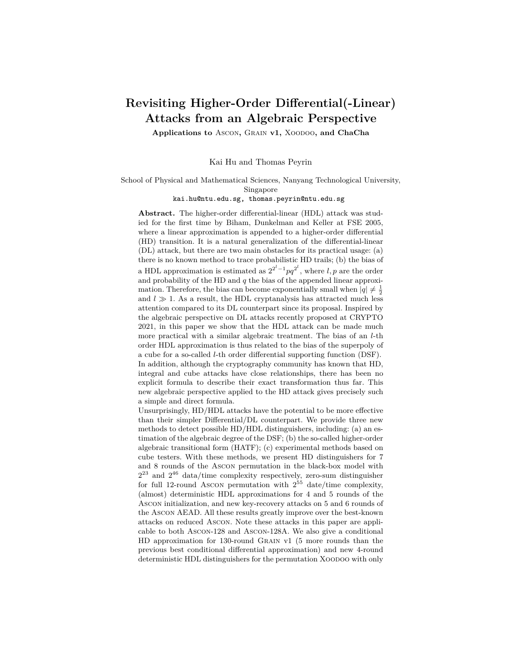# **Revisiting Higher-Order Differential(-Linear) Attacks from an Algebraic Perspective**

**Applications to** Ascon**,** Grain **v1,** Xoodoo**, and ChaCha**

Kai Hu and Thomas Peyrin

School of Physical and Mathematical Sciences, Nanyang Technological University, Singapore

kai.hu@ntu.edu.sg, thomas.peyrin@ntu.edu.sg

**Abstract.** The higher-order differential-linear (HDL) attack was studied for the first time by Biham, Dunkelman and Keller at FSE 2005, where a linear approximation is appended to a higher-order differential (HD) transition. It is a natural generalization of the differential-linear (DL) attack, but there are two main obstacles for its practical usage: (a) there is no known method to trace probabilistic HD trails; (b) the bias of a HDL approximation is estimated as  $2^{2^l-1}pq^{2^l}$ , where *l*, *p* are the order and probability of the HD and *q* the bias of the appended linear approximation. Therefore, the bias can become exponentially small when  $|q| \neq \frac{1}{2}$ and  $l \gg 1$ . As a result, the HDL cryptanalysis has attracted much less attention compared to its DL counterpart since its proposal. Inspired by the algebraic perspective on DL attacks recently proposed at CRYPTO 2021, in this paper we show that the HDL attack can be made much more practical with a similar algebraic treatment. The bias of an *l*-th order HDL approximation is thus related to the bias of the superpoly of a cube for a so-called *l*-th order differential supporting function (DSF). In addition, although the cryptography community has known that HD, integral and cube attacks have close relationships, there has been no explicit formula to describe their exact transformation thus far. This new algebraic perspective applied to the HD attack gives precisely such a simple and direct formula.

Unsurprisingly, HD/HDL attacks have the potential to be more effective than their simpler Differential/DL counterpart. We provide three new methods to detect possible HD/HDL distinguishers, including: (a) an estimation of the algebraic degree of the DSF; (b) the so-called higher-order algebraic transitional form (HATF); (c) experimental methods based on cube testers. With these methods, we present HD distinguishers for 7 and 8 rounds of the Ascon permutation in the black-box model with  $2^{23}$  and  $2^{46}$  data/time complexity respectively, zero-sum distinguisher for full 12-round Ascon permutation with  $2^{55}$  date/time complexity, (almost) deterministic HDL approximations for 4 and 5 rounds of the Ascon initialization, and new key-recovery attacks on 5 and 6 rounds of the Ascon AEAD. All these results greatly improve over the best-known attacks on reduced Ascon. Note these attacks in this paper are applicable to both Ascon-128 and Ascon-128A. We also give a conditional HD approximation for 130-round Grain v1 (5 more rounds than the previous best conditional differential approximation) and new 4-round deterministic HDL distinguishers for the permutation XOODOO with only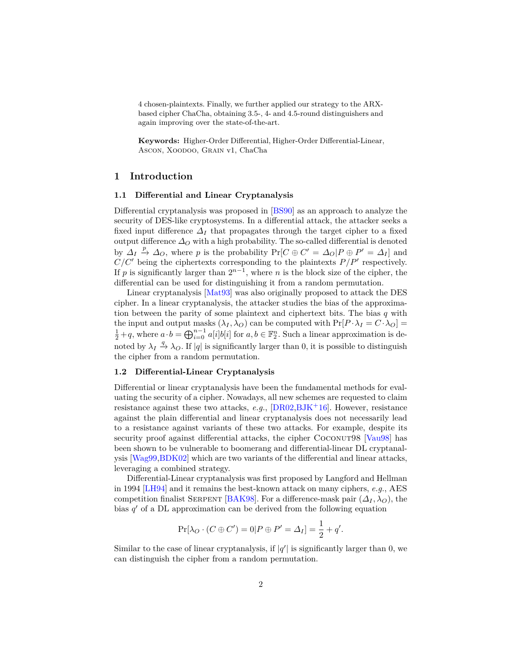4 chosen-plaintexts. Finally, we further applied our strategy to the ARXbased cipher ChaCha, obtaining 3.5-, 4- and 4.5-round distinguishers and again improving over the state-of-the-art.

**Keywords:** Higher-Order Differential, Higher-Order Differential-Linear, Ascon, Xoodoo, Grain v1, ChaCha

# <span id="page-1-0"></span>**1 Introduction**

#### **1.1 Differential and Linear Cryptanalysis**

Differential cryptanalysis was proposed in [\[BS90\]](#page-31-0) as an approach to analyze the security of DES-like cryptosystems. In a differential attack, the attacker seeks a fixed input difference  $\Delta_I$  that propagates through the target cipher to a fixed output difference *∆<sup>O</sup>* with a high probability. The so-called differential is denoted by  $\Delta_I \stackrel{p}{\to} \Delta_O$ , where *p* is the probability  $\Pr[C \oplus C' = \Delta_O | P \oplus P' = \Delta_I]$  and  $C/C'$  being the ciphertexts corresponding to the plaintexts  $P/P'$  respectively. If *p* is significantly larger than  $2^{n-1}$ , where *n* is the block size of the cipher, the differential can be used for distinguishing it from a random permutation.

Linear cryptanalysis [[Mat93](#page-32-0)] was also originally proposed to attack the DES cipher. In a linear cryptanalysis, the attacker studies the bias of the approximation between the parity of some plaintext and ciphertext bits. The bias *q* with the input and output masks  $(\lambda_I, \lambda_O)$  can be computed with  $Pr[P \cdot \lambda_I = C \cdot \lambda_O]$  $\frac{1}{2} + q$ , where  $a \cdot b = \bigoplus_{i=0}^{n-1} a[i]b[i]$  for  $a, b \in \mathbb{F}_2^n$ . Such a linear approximation is denoted by  $\lambda_I \stackrel{q}{\to} \lambda_O$ . If  $|q|$  is significantly larger than 0, it is possible to distinguish the cipher from a random permutation.

## **1.2 Differential-Linear Cryptanalysis**

Differential or linear cryptanalysis have been the fundamental methods for evaluating the security of a cipher. Nowadays, all new schemes are requested to claim resistance against these two attacks,  $e.g.,$  [[DR02,](#page-31-1)[BJK](#page-31-2)<sup>+</sup>16]. However, resistance against the plain differential and linear cryptanalysis does not necessarily lead to a resistance against variants of these two attacks. For example, despite its security proof against differential attacks, the cipher COCONUT98 [\[Vau98\]](#page-33-0) has been shown to be vulnerable to boomerang and differential-linear DL cryptanalysis [\[Wag99](#page-33-1)[,BDK02\]](#page-30-0) which are two variants of the differential and linear attacks, leveraging a combined strategy.

Differential-Linear cryptanalysis was first proposed by Langford and Hellman in 1994[[LH94\]](#page-32-1) and it remains the best-known attack on many ciphers, *e.g.*, AES competition finalist SERPENT [[BAK98](#page-30-1)]. For a difference-mask pair  $(\Delta_I, \lambda_O)$ , the bias *q ′* of a DL approximation can be derived from the following equation

$$
Pr[\lambda_O \cdot (C \oplus C') = 0 | P \oplus P' = \Delta_I] = \frac{1}{2} + q'.
$$

Similar to the case of linear cryptanalysis, if  $|q'|$  is significantly larger than 0, we can distinguish the cipher from a random permutation.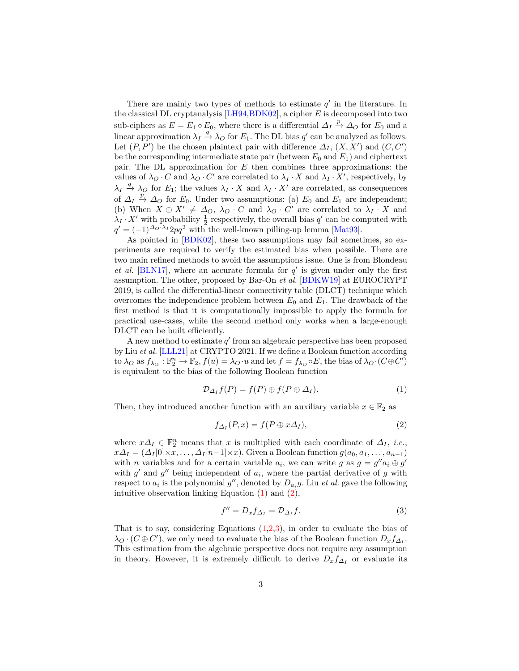There are mainly two types of methods to estimate *q ′* in the literature. In the classical DL cryptanalysis [[LH94](#page-32-1),[BDK02](#page-30-0)], a cipher *E* is decomposed into two sub-ciphers as  $E = E_1 \circ E_0$ , where there is a differential  $\Delta_I \stackrel{p}{\to} \Delta_O$  for  $E_0$  and a linear approximation  $\lambda_I \stackrel{q}{\to} \lambda_O$  for  $E_1$ . The DL bias *q'* can be analyzed as follows. Let  $(P, P')$  be the chosen plaintext pair with difference  $\Delta_I$ ,  $(X, X')$  and  $(C, C')$ be the corresponding intermediate state pair (between  $E_0$  and  $E_1$ ) and ciphertext pair. The DL approximation for *E* then combines three approximations: the values of  $\lambda_O \cdot C$  and  $\lambda_O \cdot C'$  are correlated to  $\lambda_I \cdot X$  and  $\lambda_I \cdot X'$ , respectively, by  $\lambda_I \stackrel{q}{\to} \lambda_O$  for *E*<sub>1</sub>; the values  $\lambda_I \cdot X$  and  $\lambda_I \cdot X'$  are correlated, as consequences of  $\Delta_I \stackrel{p}{\to} \Delta_O$  for  $E_0$ . Under two assumptions: (a)  $E_0$  and  $E_1$  are independent; (b) When  $X \oplus X' \neq \Delta_O$ ,  $\lambda_O \cdot C$  and  $\lambda_O \cdot C'$  are correlated to  $\lambda_I \cdot X$  and  $\lambda_I \cdot X'$  with probability  $\frac{1}{2}$  respectively, the overall bias *q'* can be computed with  $q' = (-1)^{\Delta_O \cdot \lambda_I} 2pq^2$  with the well-known pilling-up lemma [\[Mat93](#page-32-0)].

As pointed in [\[BDK02\]](#page-30-0), these two assumptions may fail sometimes, so experiments are required to verify the estimated bias when possible. There are two main refined methods to avoid the assumptions issue. One is from Blondeau *et al.* [[BLN17\]](#page-31-3), where an accurate formula for  $q'$  is given under only the first assumption. The other, proposed by Bar-On *et al.* [\[BDKW19\]](#page-30-2) at EUROCRYPT 2019, is called the differential-linear connectivity table (DLCT) technique which overcomes the independence problem between  $E_0$  and  $E_1$ . The drawback of the first method is that it is computationally impossible to apply the formula for practical use-cases, while the second method only works when a large-enough DLCT can be built efficiently.

A new method to estimate *q ′* from an algebraic perspective has been proposed by Liu *et al.* [[LLL21](#page-32-2)] at CRYPTO 2021. If we define a Boolean function according to  $\lambda_O$  as  $f_{\lambda_O}: \mathbb{F}_2^n \to \mathbb{F}_2$ ,  $f(u) = \lambda_O \cdot u$  and let  $f = f_{\lambda_O} \circ E$ , the bias of  $\lambda_O \cdot (C \oplus C')$ is equivalent to the bias of the following Boolean function

<span id="page-2-0"></span>
$$
\mathcal{D}_{\Delta_I} f(P) = f(P) \oplus f(P \oplus \Delta_I). \tag{1}
$$

Then, they introduced another function with an auxiliary variable  $x \in \mathbb{F}_2$  as

<span id="page-2-1"></span>
$$
f_{\Delta_I}(P, x) = f(P \oplus x \Delta_I), \tag{2}
$$

where  $x\Delta_I \in \mathbb{F}_2^n$  means that *x* is multiplied with each coordinate of  $\Delta_I$ , *i.e.*,  $x\Delta_I = (\Delta_I[0]\times x, \ldots, \Delta_I[n-1]\times x)$ . Given a Boolean function  $g(a_0, a_1, \ldots, a_{n-1})$ with *n* variables and for a certain variable  $a_i$ , we can write *g* as  $g = g''a_i \oplus g'$ with  $g'$  and  $g''$  being independent of  $a_i$ , where the partial derivative of  $g$  with respect to  $a_i$  is the polynomial  $g''$ , denoted by  $D_{a_i}g$ . Liu *et al.* gave the following intuitive observation linking Equation  $(1)$  $(1)$  and  $(2)$  $(2)$ ,

<span id="page-2-2"></span>
$$
f'' = D_x f_{\Delta_I} = \mathcal{D}_{\Delta_I} f. \tag{3}
$$

That is to say, considering Equations  $(1,2,3)$  $(1,2,3)$  $(1,2,3)$  $(1,2,3)$ , in order to evaluate the bias of  $\lambda$ *O*  $\cdot$  (*C*  $\oplus$  *C*'), we only need to evaluate the bias of the Boolean function  $D_x f_{\Delta_I}$ . This estimation from the algebraic perspective does not require any assumption in theory. However, it is extremely difficult to derive  $D_x f_{\Delta_I}$  or evaluate its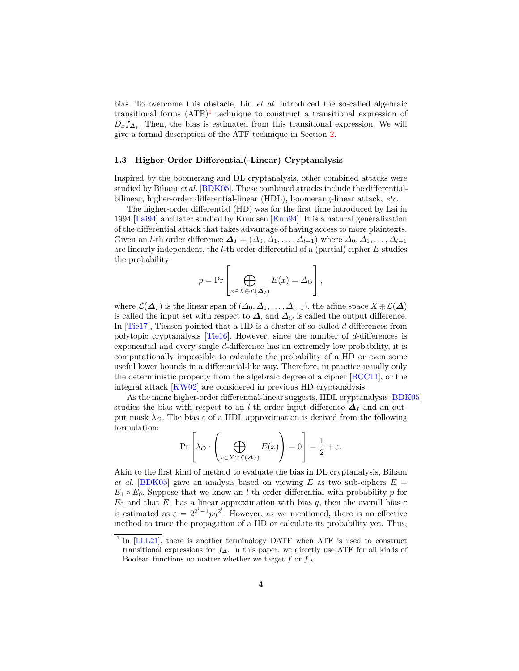bias. To overcome this obstacle, Liu *et al.* introduced the so-called algebraic transitional forms  $(ATF)^1$  $(ATF)^1$  technique to construct a transitional expression of  $D_x f_{\Delta_I}$ . Then, the bias is estimated from this transitional expression. We will give a formal description of the ATF technique in Section [2](#page-7-0).

#### **1.3 Higher-Order Differential(-Linear) Cryptanalysis**

Inspired by the boomerang and DL cryptanalysis, other combined attacks were studied by Biham *et al.* [\[BDK05\]](#page-30-3). These combined attacks include the differentialbilinear, higher-order differential-linear (HDL), boomerang-linear attack, *etc.*

The higher-order differential (HD) was for the first time introduced by Lai in 1994 [\[Lai94](#page-32-3)] and later studied by Knudsen [[Knu94](#page-32-4)]. It is a natural generalization of the differential attack that takes advantage of having access to more plaintexts. Given an *l*-th order difference  $\Delta_I = (\Delta_0, \Delta_1, \ldots, \Delta_{l-1})$  where  $\Delta_0, \Delta_1, \ldots, \Delta_{l-1}$ are linearly independent, the *l*-th order differential of a (partial) cipher *E* studies the probability

$$
p = \Pr\left[\bigoplus_{x \in X \oplus \mathcal{L}(\Delta_I)} E(x) = \Delta_O\right],
$$

where  $\mathcal{L}(\Delta_I)$  is the linear span of  $(\Delta_0, \Delta_1, \ldots, \Delta_{l-1})$ , the affine space  $X \oplus \mathcal{L}(\Delta)$ is called the input set with respect to  $\Delta$ , and  $\Delta$ <sub>*O*</sub> is called the output difference. In [[Tie17](#page-33-2)], Tiessen pointed that a HD is a cluster of so-called *d*-differences from polytopic cryptanalysis [[Tie16](#page-33-3)]. However, since the number of *d*-differences is exponential and every single *d*-difference has an extremely low probability, it is computationally impossible to calculate the probability of a HD or even some useful lower bounds in a differential-like way. Therefore, in practice usually only the deterministic property from the algebraic degree of a cipher [\[BCC11](#page-30-4)], or the integral attack [\[KW02](#page-32-5)] are considered in previous HD cryptanalysis.

As the name higher-order differential-linear suggests, HDL cryptanalysis [[BDK05](#page-30-3)] studies the bias with respect to an *l*-th order input difference  $\Delta_I$  and an output mask  $\lambda_O$ . The bias  $\varepsilon$  of a HDL approximation is derived from the following formulation:

$$
\Pr\left[\lambda_O \cdot \left(\bigoplus_{x \in X \oplus \mathcal{L}(\Delta_I)} E(x)\right) = 0\right] = \frac{1}{2} + \varepsilon.
$$

Akin to the first kind of method to evaluate the bias in DL cryptanalysis, Biham *et al.* [\[BDK05](#page-30-3)] gave an analysis based on viewing E as two sub-ciphers  $E =$  $E_1 \circ E_0$ . Suppose that we know an *l*-th order differential with probability *p* for  $E_0$  and that  $E_1$  has a linear approximation with bias *q*, then the overall bias  $\varepsilon$ is estimated as  $\varepsilon = 2^{2^l-1}pq^{2^l}$ . However, as we mentioned, there is no effective method to trace the propagation of a HD or calculate its probability yet. Thus,

<span id="page-3-0"></span><sup>&</sup>lt;sup>1</sup> In [\[LLL21\]](#page-32-2), there is another terminology DATF when ATF is used to construct transitional expressions for *f∆*. In this paper, we directly use ATF for all kinds of Boolean functions no matter whether we target *f* or *f∆*.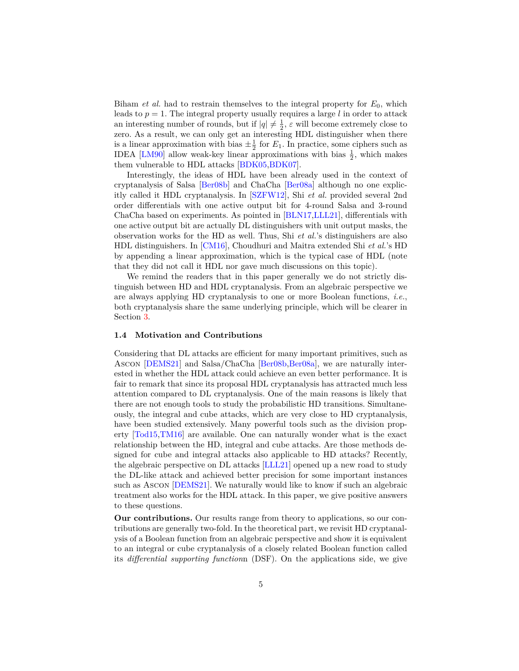Biham *et al.* had to restrain themselves to the integral property for *E*0, which leads to  $p = 1$ . The integral property usually requires a large  $l$  in order to attack an interesting number of rounds, but if  $|q| \neq \frac{1}{2}$ ,  $\varepsilon$  will become extremely close to zero. As a result, we can only get an interesting HDL distinguisher when there is a linear approximation with bias  $\pm \frac{1}{2}$  for  $E_1$ . In practice, some ciphers such as IDEA [[LM90](#page-32-6)] allow weak-key linear approximations with bias  $\frac{1}{2}$ , which makes them vulnerable to HDL attacks [[BDK05,](#page-30-3)[BDK07](#page-30-5)].

Interestingly, the ideas of HDL have been already used in the context of cryptanalysis of Salsa [[Ber08b\]](#page-31-4) and ChaCha [\[Ber08a\]](#page-30-6) although no one explicitly called it HDL cryptanalysis. In [\[SZFW12\]](#page-32-7), Shi *et al.* provided several 2nd order differentials with one active output bit for 4-round Salsa and 3-round ChaCha based on experiments. As pointed in [[BLN17](#page-31-3)[,LLL21](#page-32-2)], differentials with one active output bit are actually DL distinguishers with unit output masks, the observation works for the HD as well. Thus, Shi *et al.*'s distinguishers are also HDL distinguishers. In [\[CM16\]](#page-31-5), Choudhuri and Maitra extended Shi *et al.*'s HD by appending a linear approximation, which is the typical case of HDL (note that they did not call it HDL nor gave much discussions on this topic).

We remind the readers that in this paper generally we do not strictly distinguish between HD and HDL cryptanalysis. From an algebraic perspective we are always applying HD cryptanalysis to one or more Boolean functions, *i.e.*, both cryptanalysis share the same underlying principle, which will be clearer in Section [3.](#page-11-0)

#### **1.4 Motivation and Contributions**

Considering that DL attacks are efficient for many important primitives, such as Ascon [\[DEMS21\]](#page-31-6) and Salsa/ChaCha [[Ber08b](#page-31-4)[,Ber08a](#page-30-6)], we are naturally interested in whether the HDL attack could achieve an even better performance. It is fair to remark that since its proposal HDL cryptanalysis has attracted much less attention compared to DL cryptanalysis. One of the main reasons is likely that there are not enough tools to study the probabilistic HD transitions. Simultaneously, the integral and cube attacks, which are very close to HD cryptanalysis, have been studied extensively. Many powerful tools such as the division property [[Tod15,](#page-33-4)[TM16\]](#page-33-5) are available. One can naturally wonder what is the exact relationship between the HD, integral and cube attacks. Are those methods designed for cube and integral attacks also applicable to HD attacks? Recently, the algebraic perspective on DL attacks [\[LLL21\]](#page-32-2) opened up a new road to study the DL-like attack and achieved better precision for some important instances such as Ascon [[DEMS21\]](#page-31-6). We naturally would like to know if such an algebraic treatment also works for the HDL attack. In this paper, we give positive answers to these questions.

**Our contributions.** Our results range from theory to applications, so our contributions are generally two-fold. In the theoretical part, we revisit HD cryptanalysis of a Boolean function from an algebraic perspective and show it is equivalent to an integral or cube cryptanalysis of a closely related Boolean function called its *differential supporting function*n (DSF). On the applications side, we give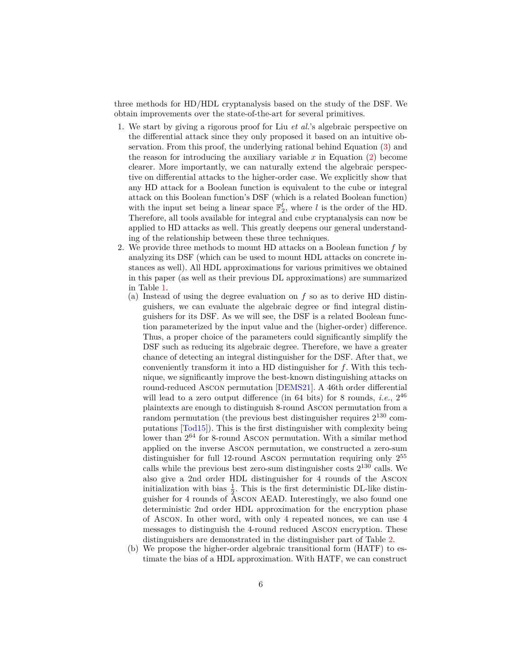three methods for HD/HDL cryptanalysis based on the study of the DSF. We obtain improvements over the state-of-the-art for several primitives.

- 1. We start by giving a rigorous proof for Liu *et al.*'s algebraic perspective on the differential attack since they only proposed it based on an intuitive observation. From this proof, the underlying rational behind Equation ([3\)](#page-2-2) and the reason for introducing the auxiliary variable  $x$  in Equation  $(2)$  $(2)$  become clearer. More importantly, we can naturally extend the algebraic perspective on differential attacks to the higher-order case. We explicitly show that any HD attack for a Boolean function is equivalent to the cube or integral attack on this Boolean function's DSF (which is a related Boolean function) with the input set being a linear space  $\mathbb{F}_2^l$ , where *l* is the order of the HD. Therefore, all tools available for integral and cube cryptanalysis can now be applied to HD attacks as well. This greatly deepens our general understanding of the relationship between these three techniques.
- 2. We provide three methods to mount HD attacks on a Boolean function *f* by analyzing its DSF (which can be used to mount HDL attacks on concrete instances as well). All HDL approximations for various primitives we obtained in this paper (as well as their previous DL approximations) are summarized in Table [1.](#page-7-1)
	- (a) Instead of using the degree evaluation on *f* so as to derive HD distinguishers, we can evaluate the algebraic degree or find integral distinguishers for its DSF. As we will see, the DSF is a related Boolean function parameterized by the input value and the (higher-order) difference. Thus, a proper choice of the parameters could significantly simplify the DSF such as reducing its algebraic degree. Therefore, we have a greater chance of detecting an integral distinguisher for the DSF. After that, we conveniently transform it into a HD distinguisher for *f*. With this technique, we significantly improve the best-known distinguishing attacks on round-reduced Ascon permutation [[DEMS21\]](#page-31-6). A 46th order differential will lead to a zero output difference (in 64 bits) for 8 rounds, *i.e.*,  $2^{46}$ plaintexts are enough to distinguish 8-round Ascon permutation from a random permutation (the previous best distinguisher requires  $2^{130}$  computations [[Tod15\]](#page-33-4)). This is the first distinguisher with complexity being lower than  $2^{64}$  for 8-round Ascon permutation. With a similar method applied on the inverse Ascon permutation, we constructed a zero-sum distinguisher for full 12-round Ascon permutation requiring only  $2^{55}$ calls while the previous best zero-sum distinguisher costs 2 <sup>130</sup> calls. We also give a 2nd order HDL distinguisher for 4 rounds of the Ascon initialization with bias  $\frac{1}{2}$ . This is the first deterministic DL-like distinguisher for 4 rounds of Ascon AEAD. Interestingly, we also found one deterministic 2nd order HDL approximation for the encryption phase of Ascon. In other word, with only 4 repeated nonces, we can use 4 messages to distinguish the 4-round reduced Ascon encryption. These distinguishers are demonstrated in the distinguisher part of Table [2.](#page-8-0)
	- (b) We propose the higher-order algebraic transitional form (HATF) to estimate the bias of a HDL approximation. With HATF, we can construct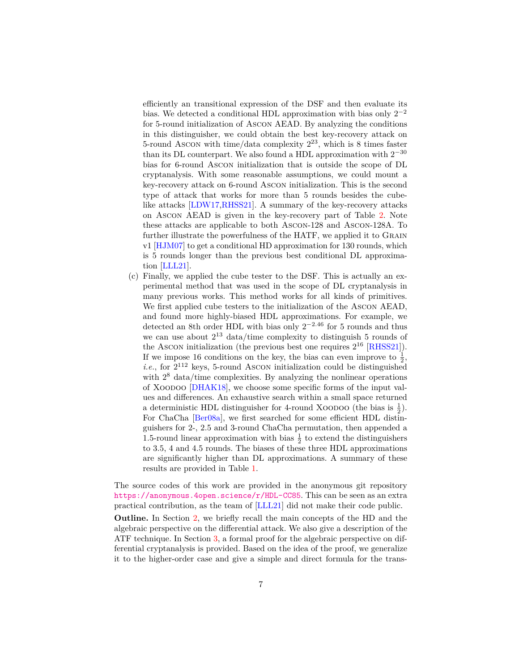efficiently an transitional expression of the DSF and then evaluate its bias. We detected a conditional HDL approximation with bias only 2 *−*2 for 5-round initialization of Ascon AEAD. By analyzing the conditions in this distinguisher, we could obtain the best key-recovery attack on 5-round Ascon with time/data complexity  $2^{23}$ , which is 8 times faster than its DL counterpart. We also found a HDL approximation with 2 *−*30 bias for 6-round Ascon initialization that is outside the scope of DL cryptanalysis. With some reasonable assumptions, we could mount a key-recovery attack on 6-round Ascon initialization. This is the second type of attack that works for more than 5 rounds besides the cubelike attacks [\[LDW17,](#page-32-8)[RHSS21](#page-32-9)]. A summary of the key-recovery attacks on Ascon AEAD is given in the key-recovery part of Table [2](#page-8-0). Note these attacks are applicable to both Ascon-128 and Ascon-128A. To further illustrate the powerfulness of the HATF, we applied it to GRAIN v1 [\[HJM07\]](#page-31-7) to get a conditional HD approximation for 130 rounds, which is 5 rounds longer than the previous best conditional DL approximation [[LLL21\]](#page-32-2).

(c) Finally, we applied the cube tester to the DSF. This is actually an experimental method that was used in the scope of DL cryptanalysis in many previous works. This method works for all kinds of primitives. We first applied cube testers to the initialization of the Ascon AEAD, and found more highly-biased HDL approximations. For example, we detected an 8th order HDL with bias only 2 *<sup>−</sup>*2*.*<sup>46</sup> for 5 rounds and thus we can use about  $2^{13}$  data/time complexity to distinguish 5 rounds of the Ascon initialization (the previous best one requires  $2^{16}$  [\[RHSS21](#page-32-9)]). If we impose 16 conditions on the key, the bias can even improve to  $\frac{1}{2}$ , *i.e.*, for  $2^{112}$  keys, 5-round Ascon initialization could be distinguished with  $2<sup>8</sup>$  data/time complexities. By analyzing the nonlinear operations of Xoodoo [\[DHAK18](#page-31-8)], we choose some specific forms of the input values and differences. An exhaustive search within a small space returned a deterministic HDL distinguisher for 4-round XOODOO (the bias is  $\frac{1}{2}$ ). For ChaCha [[Ber08a](#page-30-6)], we first searched for some efficient HDL distinguishers for 2-, 2.5 and 3-round ChaCha permutation, then appended a 1.5-round linear approximation with bias  $\frac{1}{2}$  to extend the distinguishers to 3.5, 4 and 4.5 rounds. The biases of these three HDL approximations are significantly higher than DL approximations. A summary of these results are provided in Table [1.](#page-7-1)

The source codes of this work are provided in the anonymous git repository <https://anonymous.4open.science/r/HDL-CC85>. This can be seen as an extra practical contribution, as the team of [[LLL21](#page-32-2)] did not make their code public.

**Outline.** In Section [2,](#page-7-0) we briefly recall the main concepts of the HD and the algebraic perspective on the differential attack. We also give a description of the ATF technique. In Section [3,](#page-11-0) a formal proof for the algebraic perspective on differential cryptanalysis is provided. Based on the idea of the proof, we generalize it to the higher-order case and give a simple and direct formula for the trans-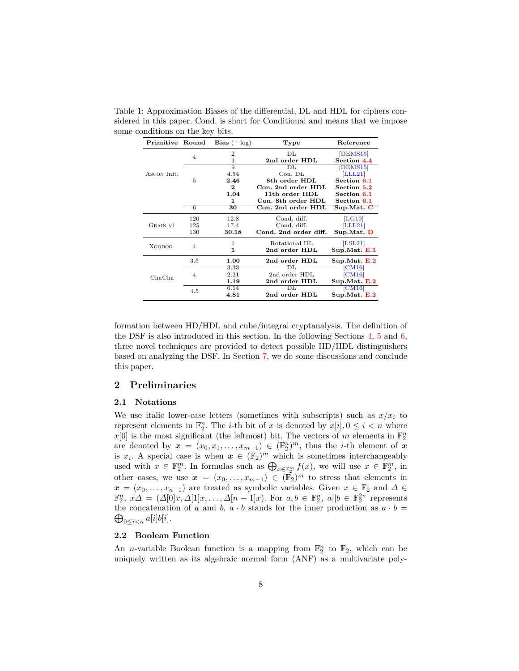| Primitive   | Round      | <b>Bias</b> $(-\log)$ | Type                                  | Reference                                       |  |
|-------------|------------|-----------------------|---------------------------------------|-------------------------------------------------|--|
|             | 4          | $\overline{2}$<br>1   | DL.<br>2nd order HDL                  | [DEMS15]<br>Section 4.4                         |  |
| ASCON Init. |            | 9<br>4.54             | DL.<br>$Con.$ $DI.$                   | DEMS <sub>15</sub><br>[LLL21]                   |  |
|             | 5          | 2.46<br>$\mathbf{2}$  | 8th order HDL<br>Con. 2nd order HDL   | Section 6.1<br>Section 5.2                      |  |
|             |            | 1.04<br>1             | 11th order HDL<br>Con. 8th order HDL  | Section 6.1<br>Section 6.1                      |  |
|             | 6          | 30                    | Con. 2nd order HDL                    | Sup.Mat. C                                      |  |
|             | 120        | 12.8                  | Cond. diff.                           | LG19                                            |  |
| GRAIN v1    | 125<br>130 | 17.4<br>30.18         | Cond. diff.<br>Cond. 2nd order diff.  | LLL21 <br>Sup.Mat. D                            |  |
| XOODOO      | 4          | 1<br>1                | Rotational DL<br>2nd order HDL        | LSL21 <br>Sup.Mat. E.1                          |  |
|             | 3.5        | 1.00                  | 2nd order HDL                         | Sup.Mat. E.2                                    |  |
| ChaCha      | 4          | 3.33<br>2.21<br>1.19  | DL.<br>2nd order HDL<br>2nd order HDL | $\rm C M16$<br>$\rm [CM16]$<br>$SupMat$ . $E.2$ |  |
|             | 4.5        | 6.14<br>4.81          | DL.<br>2nd order HDL                  | $\vert$ CM16 $\vert$<br>$Sup.Mat$ $E.2$         |  |

<span id="page-7-1"></span>Table 1: Approximation Biases of the differential, DL and HDL for ciphers considered in this paper. Cond. is short for Conditional and means that we impose some conditions on the key bits.

formation between HD/HDL and cube/integral cryptanalysis. The definition of the DSF is also introduced in this section. In the following Sections [4,](#page-14-0) [5](#page-21-0) and [6,](#page-27-1) three novel techniques are provided to detect possible HD/HDL distinguishers based on analyzing the DSF. In Section [7,](#page-28-0) we do some discussions and conclude this paper.

# <span id="page-7-0"></span>**2 Preliminaries**

#### **2.1 Notations**

We use italic lower-case letters (sometimes with subscripts) such as  $x/x_i$  to represent elements in  $\mathbb{F}_2^n$ . The *i*-th bit of *x* is denoted by  $x[i], 0 \le i < n$  where  $x[0]$  is the most significant (the leftmost) bit. The vectors of *m* elements in  $\mathbb{F}_2^n$ are denoted by  $x = (x_0, x_1, \ldots, x_{m-1}) \in (\mathbb{F}_2^n)^m$ , thus the *i*-th element of x is  $x_i$ . A special case is when  $x \in (\mathbb{F}_2)^m$  which is sometimes interchangeably used with  $x \in \mathbb{F}_2^m$ . In formulas such as  $\bigoplus_{x \in \mathbb{F}_2^m} f(x)$ , we will use  $x \in \mathbb{F}_2^m$ , in other cases, we use  $x = (x_0, \ldots, x_{m-1}) \in (\mathbb{F}_2)^m$  to stress that elements in  $x = (x_0, \ldots, x_{n-1})$  are treated as symbolic variables. Given  $x \in \mathbb{F}_2$  and  $\Delta \in$  $\mathbb{F}_2^n$ ,  $x\Delta = (\Delta[0]x, \Delta[1]x, \ldots, \Delta[n-1]x)$ . For  $a, b \in \mathbb{F}_2^n$ ,  $a||b \in \mathbb{F}_2^{2n}$  represents the concatenation of *a* and *b*,  $a \cdot b$  stands for the inner production as  $a \cdot b =$  $\bigoplus_{0\leq i\leq n}a[i]b[i].$ 

# **2.2 Boolean Function**

An *n*-variable Boolean function is a mapping from  $\mathbb{F}_2^n$  to  $\mathbb{F}_2$ , which can be uniquely written as its algebraic normal form (ANF) as a multivariate poly-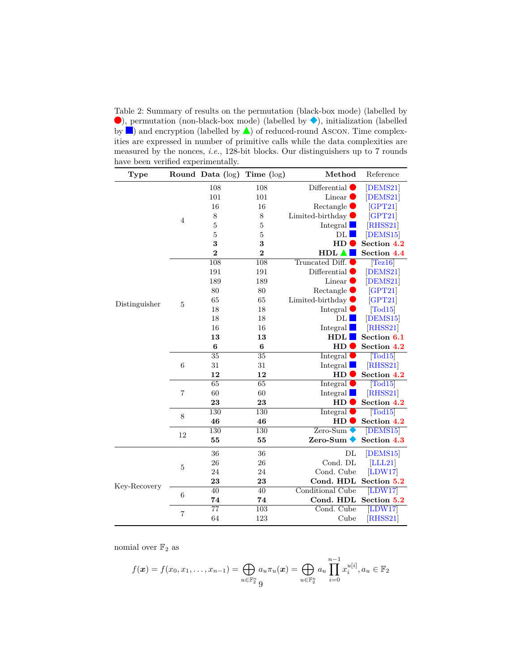<span id="page-8-0"></span>Table 2: Summary of results on the permutation (black-box mode) (labelled by  $\bullet$ ), permutation (non-black-box mode) (labelled by  $\bullet$ ), initialization (labelled by  $\Box$ ) and encryption (labelled by  $\triangle$ ) of reduced-round Ascon. Time complexities are expressed in number of primitive calls while the data complexities are measured by the nonces, *i.e.*, 128-bit blocks. Our distinguishers up to 7 rounds have been verified experimentally.

| Type          |                | Round Data $(\log)$ | Time (log)       | Method                  | Reference                        |  |
|---------------|----------------|---------------------|------------------|-------------------------|----------------------------------|--|
|               |                | 108                 | 108              | Differential            | [DEMS21]                         |  |
|               |                | 101                 | 101              | Linear <sup>(</sup>     | [DEMS21]                         |  |
|               |                | 16                  | 16               | Rectangle               | GPT21                            |  |
|               |                | 8                   | 8                | Limited-birthday        | GPT21                            |  |
|               | $\overline{4}$ | $\bf 5$             | $\bf 5$          | Integral                | [RHSS21]                         |  |
|               |                | $\bf 5$             | $\bf 5$          | DL                      | [DEMS15]                         |  |
|               |                | 3                   | 3                | HD                      | Section 4.2                      |  |
|               |                | $\overline{2}$      | $\overline{2}$   | $HDL$ $\triangle$       | Section 4.4                      |  |
|               |                | 108                 | 108              | Truncated Diff.         | Tez16                            |  |
|               |                | 191                 | 191              | Differential $\bullet$  | [DEMS21]                         |  |
|               |                | 189                 | 189              | Linear $\bullet$        | [DEMS21]                         |  |
|               |                | 80                  | 80               | Rectangle $\bullet$     | GPT21                            |  |
| Distinguisher | 5              | 65                  | 65               | Limited-birthday        | GPT21                            |  |
|               |                | 18                  | 18               | Integral $\bullet$      | $\lfloor \text{Todd} 15 \rfloor$ |  |
|               |                | 18                  | 18               | DL                      | DEMS <sub>15</sub>               |  |
|               |                | 16                  | 16               | Integral                | [R <sub>HSS21</sub> ]            |  |
|               |                | 13                  | 13               | HDL                     | Section 6.1                      |  |
|               |                | $\boldsymbol{6}$    | $\boldsymbol{6}$ | HD <sub>1</sub>         | Section 4.2                      |  |
|               | $\,$ 6 $\,$    | $\overline{35}$     | $\overline{35}$  | Integral $\bullet$      | $\overline{\text{Todd15}}$       |  |
|               |                | 31                  | 31               | Integral                | [RHSS21]                         |  |
|               |                | 12                  | 12               | HD                      | Section 4.2                      |  |
|               | $\overline{7}$ | 65                  | 65               | Integral $\blacksquare$ | $\lceil \text{Todd15} \rceil$    |  |
|               |                | 60                  | 60               | Integral                | [R <sub>HSS21</sub> ]            |  |
|               |                | 23                  | 23               | HD                      | Section 4.2                      |  |
|               | $8\,$          | 130                 | 130              | Integral                | $\sqrt{\text{Todd15}}$           |  |
|               |                | 46                  | 46               | HD                      | Section 4.2                      |  |
|               | 12             | 130                 | 130              | $Zero-Sum$              | [DEMS15]                         |  |
|               |                | 55                  | 55               | Zero-Sum                | Section 4.3                      |  |
|               | $\overline{5}$ | 36                  | 36               | DL                      | [DEMS15]                         |  |
|               |                | 26                  | 26               | Cond. DL                | [LLL21]                          |  |
|               |                | 24                  | 24               | Cond. Cube              | [LDW17]                          |  |
| Key-Recovery  |                | 23                  | 23               | Cond. HDL               | Section 5.2                      |  |
|               | 6              | $\overline{40}$     | $\overline{40}$  | Conditional Cube        | [LDW17]                          |  |
|               |                | 74                  | 74               | Cond. HDL               | Section 5.2                      |  |
|               | $\overline{7}$ | $\overline{77}$     | 103              | Cond. Cube              | [LDW17]                          |  |
|               |                | 64                  | 123              | Cube                    | [RHSS21]                         |  |

nomial over  $\mathbb{F}_2$  as

$$
f(\boldsymbol{x}) = f(x_0, x_1, \dots, x_{n-1}) = \bigoplus_{u \in \mathbb{F}_2^n} a_u \pi_u(\boldsymbol{x}) = \bigoplus_{u \in \mathbb{F}_2^n} a_u \prod_{i=0}^{n-1} x_i^{u[i]}, a_u \in \mathbb{F}_2
$$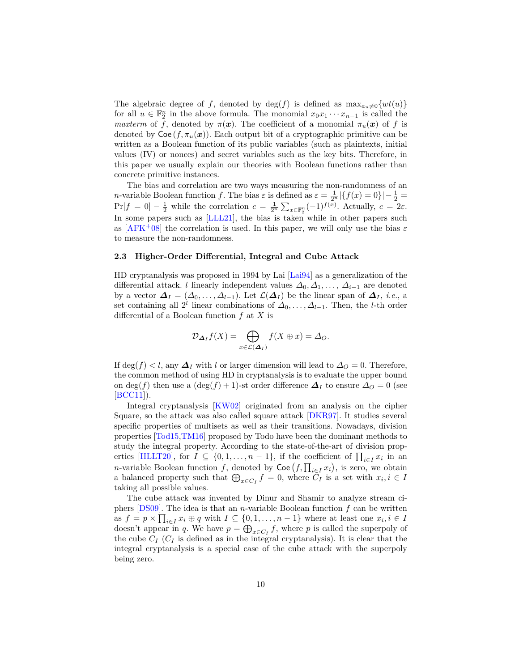The algebraic degree of f, denoted by  $deg(f)$  is defined as  $max_{a_i\neq 0} \{wt(u)\}$ for all  $u \in \mathbb{F}_2^n$  in the above formula. The monomial  $x_0x_1 \cdots x_{n-1}$  is called the *maxterm* of *f*, denoted by  $\pi(x)$ . The coefficient of a monomial  $\pi_u(x)$  of *f* is denoted by  $\text{Coe}(f, \pi_u(\boldsymbol{x}))$ . Each output bit of a cryptographic primitive can be written as a Boolean function of its public variables (such as plaintexts, initial values (IV) or nonces) and secret variables such as the key bits. Therefore, in this paper we usually explain our theories with Boolean functions rather than concrete primitive instances.

The bias and correlation are two ways measuring the non-randomness of an *n*-variable Boolean function *f*. The bias  $\varepsilon$  is defined as  $\varepsilon = \frac{1}{2^n} |\{f(x) = 0\}| - \frac{1}{2}$  $Pr[f = 0] - \frac{1}{2}$  while the correlation  $c = \frac{1}{2^n} \sum_{x \in \mathbb{F}_2^n} (-1)^{f(x)}$ . Actually,  $c = 2\varepsilon$ . In some papers such as [[LLL21](#page-32-2)], the bias is taken while in other papers such as  $[AFK^+08]$  the correlation is used. In this paper, we will only use the bias  $\varepsilon$ to measure the non-randomness.

## **2.3 Higher-Order Differential, Integral and Cube Attack**

HD cryptanalysis was proposed in 1994 by Lai [\[Lai94](#page-32-3)] as a generalization of the differential attack. *l* linearly independent values  $\Delta_0, \Delta_1, \ldots, \Delta_{i-1}$  are denoted by a vector  $\Delta_I = (\Delta_0, \ldots, \Delta_{l-1})$ . Let  $\mathcal{L}(\Delta_I)$  be the linear span of  $\Delta_I$ , *i.e.*, a set containing all  $2^l$  linear combinations of  $\Delta_0, \ldots, \Delta_{l-1}$ . Then, the *l*-th order differential of a Boolean function *f* at *X* is

$$
\mathcal{D}_{\Delta_I} f(X) = \bigoplus_{x \in \mathcal{L}(\Delta_I)} f(X \oplus x) = \Delta_O.
$$

If  $\deg(f) < l$ , any  $\Delta_I$  with *l* or larger dimension will lead to  $\Delta_O = 0$ . Therefore, the common method of using HD in cryptanalysis is to evaluate the upper bound on deg(*f*) then use a  $(\deg(f) + 1)$ -st order difference  $\Delta_I$  to ensure  $\Delta_O = 0$  (see [[BCC11\]](#page-30-4)).

Integral cryptanalysis [[KW02\]](#page-32-5) originated from an analysis on the cipher Square, so the attack was also called square attack [[DKR97](#page-31-11)]. It studies several specific properties of multisets as well as their transitions. Nowadays, division properties [[Tod15](#page-33-4),[TM16](#page-33-5)] proposed by Todo have been the dominant methods to study the integral property. According to the state-of-the-art of division prop-erties [[HLLT20\]](#page-32-12), for  $I \subseteq \{0, 1, \ldots, n-1\}$ , if the coefficient of  $\prod_{i \in I} x_i$  in an *n*-variable Boolean function *f*, denoted by  $\text{Coe}(f, \prod_{i \in I} x_i)$ , is zero, we obtain a balanced property such that  $\bigoplus_{x \in C_I} f = 0$ , where  $C_I$  is a set with  $x_i, i \in I$ taking all possible values.

The cube attack was invented by Dinur and Shamir to analyze stream ciphers [\[DS09](#page-31-12)]. The idea is that an *n*-variable Boolean function *f* can be written as  $f = p \times \prod_{i \in I} x_i \oplus q$  with  $I \subseteq \{0, 1, \ldots, n-1\}$  where at least one  $x_i, i \in I$ doesn't appear in *q*. We have  $p = \bigoplus_{x \in C_I} f$ , where *p* is called the superpoly of the cube  $C_I$  ( $C_I$  is defined as in the integral cryptanalysis). It is clear that the integral cryptanalysis is a special case of the cube attack with the superpoly being zero.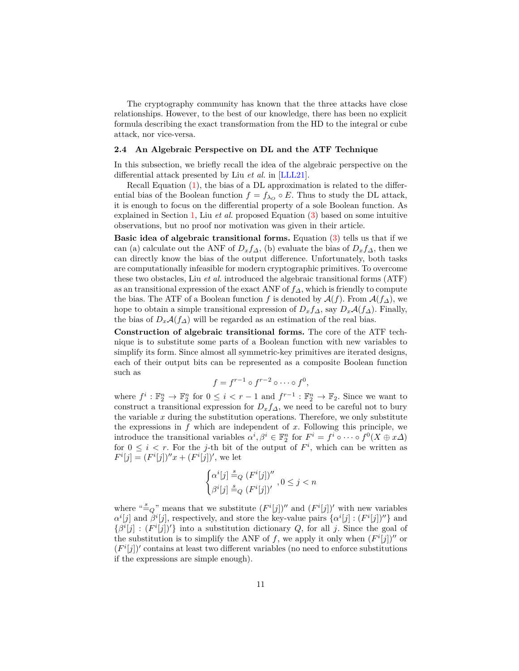The cryptography community has known that the three attacks have close relationships. However, to the best of our knowledge, there has been no explicit formula describing the exact transformation from the HD to the integral or cube attack, nor vice-versa.

#### **2.4 An Algebraic Perspective on DL and the ATF Technique**

In this subsection, we briefly recall the idea of the algebraic perspective on the differential attack presented by Liu *et al.* in [\[LLL21\]](#page-32-2).

Recall Equation ([1\)](#page-2-0), the bias of a DL approximation is related to the differential bias of the Boolean function  $f = f_{\lambda_O} \circ E$ . Thus to study the DL attack, it is enough to focus on the differential property of a sole Boolean function. As explained in Section [1,](#page-1-0) Liu *et al.* proposed Equation ([3\)](#page-2-2) based on some intuitive observations, but no proof nor motivation was given in their article.

**Basic idea of algebraic transitional forms.** Equation ([3\)](#page-2-2) tells us that if we can (a) calculate out the ANF of  $D_x f_\Delta$ , (b) evaluate the bias of  $D_x f_\Delta$ , then we can directly know the bias of the output difference. Unfortunately, both tasks are computationally infeasible for modern cryptographic primitives. To overcome these two obstacles, Liu *et al.* introduced the algebraic transitional forms (ATF) as an transitional expression of the exact ANF of *f∆*, which is friendly to compute the bias. The ATF of a Boolean function *f* is denoted by  $\mathcal{A}(f)$ . From  $\mathcal{A}(f_{\Delta})$ , we hope to obtain a simple transitional expression of  $D_x f_\Delta$ , say  $D_x \mathcal{A}(f_\Delta)$ . Finally, the bias of  $D_x\mathcal{A}(f_\Delta)$  will be regarded as an estimation of the real bias.

**Construction of algebraic transitional forms.** The core of the ATF technique is to substitute some parts of a Boolean function with new variables to simplify its form. Since almost all symmetric-key primitives are iterated designs, each of their output bits can be represented as a composite Boolean function such as

$$
f = f^{r-1} \circ f^{r-2} \circ \cdots \circ f^0,
$$

where  $f^i: \mathbb{F}_2^n \to \mathbb{F}_2^n$  for  $0 \leq i < r-1$  and  $f^{r-1}: \mathbb{F}_2^n \to \mathbb{F}_2$ . Since we want to construct a transitional expression for  $D_x f_\Delta$ , we need to be careful not to bury the variable *x* during the substitution operations. Therefore, we only substitute the expressions in  $f$  which are independent of  $x$ . Following this principle, we introduce the transitional variables  $\alpha^i, \beta^i \in \mathbb{F}_2^n$  for  $F^i = f^i \circ \cdots \circ f^0(X \oplus x \Delta)$ for  $0 \leq i \leq r$ . For the *j*-th bit of the output of  $F^i$ , which can be written as  $F^{i}[j] = (F^{i}[j])''x + (F^{i}[j])'$ , we let

$$
\begin{cases} \alpha^i[j] \stackrel{s}{=} _Q (F^i[j])^{\prime\prime} \\ \beta^i[j] \stackrel{s}{=} _Q (F^i[j])^{\prime} \end{cases}, 0 \leq j < n
$$

where " $\stackrel{\alpha s}{=}$   $\phi$ " means that we substitute  $(F^i[j])'$  and  $(F^i[j])'$  with new variables  $a^{i}[j]$  and  $\beta^{i}[j]$ , respectively, and store the key-value pairs  $\{a^{i}[j] : (F^{i}[j])''\}$  and  $\{\beta^i[j] : (F^i[j])'\}$  into a substitution dictionary *Q*, for all *j*. Since the goal of the substitution is to simplify the ANF of *f*, we apply it only when  $(F^{i}[j])''$  or  $(F^i[j])'$  contains at least two different variables (no need to enforce substitutions if the expressions are simple enough).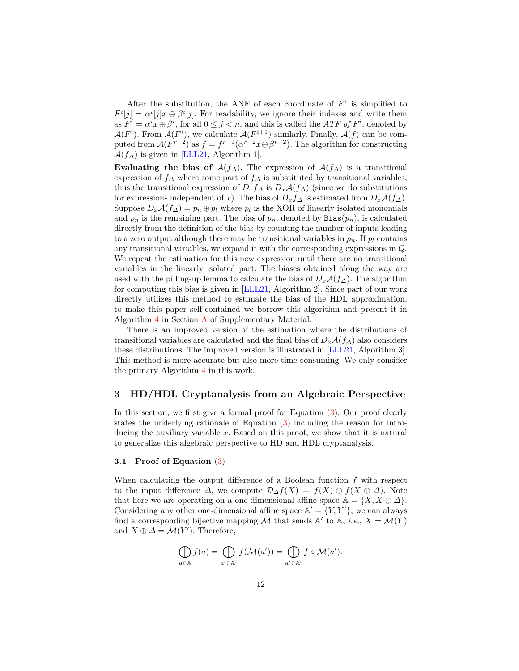After the substitution, the ANF of each coordinate of  $F<sup>i</sup>$  is simplified to  $F^{i}[j] = \alpha^{i}[j]x \oplus \beta^{i}[j]$ . For readability, we ignore their indexes and write them as  $F^i = \alpha^i x \oplus \beta^i$ , for all  $0 \leq j < n$ , and this is called the *ATF of*  $F^i$ , denoted by  $\mathcal{A}(F^i)$ . From  $\mathcal{A}(F^i)$ , we calculate  $\mathcal{A}(F^{i+1})$  similarly. Finally,  $\mathcal{A}(f)$  can be computed from  $\mathcal{A}(F^{r-2})$  as  $f = f^{r-1}(\alpha^{r-2}x \oplus \beta^{r-2})$ . The algorithm for constructing  $A(f_A)$  is given in [\[LLL21,](#page-32-2) Algorithm 1].

**Evaluating the bias of**  $\mathcal{A}(f_\Delta)$ . The expression of  $\mathcal{A}(f_\Delta)$  is a transitional expression of  $f$ <sup> $\Delta$ </sup> where some part of  $f$ <sup> $\Delta$ </sup> is substituted by transitional variables, thus the transitional expression of  $D_x f_\Delta$  is  $D_x \mathcal{A}(f_\Delta)$  (since we do substitutions for expressions independent of *x*). The bias of  $D_x f_\Delta$  is estimated from  $D_x \mathcal{A}(f_\Delta)$ . Suppose  $D_x \mathcal{A}(f_A) = p_n \oplus p_l$  where  $p_l$  is the XOR of linearly isolated monomials and  $p_n$  is the remaining part. The bias of  $p_n$ , denoted by Bias $(p_n)$ , is calculated directly from the definition of the bias by counting the number of inputs leading to a zero output although there may be transitional variables in  $p_n$ . If  $p_l$  contains any transitional variables, we expand it with the corresponding expressions in *Q*. We repeat the estimation for this new expression until there are no transitional variables in the linearly isolated part. The biases obtained along the way are used with the pilling-up lemma to calculate the bias of  $D_x\mathcal{A}(f_\Delta)$ . The algorithm for computing this bias is given in[[LLL21,](#page-32-2) Algorithm 2]. Since part of our work directly utilizes this method to estimate the bias of the HDL approximation, to make this paper self-contained we borrow this algorithm and present it in Algorithm [4](#page-34-0) in Section [A](#page-34-1) of Supplementary Material.

There is an improved version of the estimation where the distributions of transitional variables are calculated and the final bias of  $D_x\mathcal{A}(f_\Delta)$  also considers these distributions. The improved version is illustrated in [\[LLL21,](#page-32-2) Algorithm 3]. This method is more accurate but also more time-consuming. We only consider the primary Algorithm [4](#page-34-0) in this work.

# <span id="page-11-0"></span>**3 HD/HDL Cryptanalysis from an Algebraic Perspective**

In this section, we first give a formal proof for Equation ([3\)](#page-2-2). Our proof clearly states the underlying rationale of Equation ([3\)](#page-2-2) including the reason for introducing the auxiliary variable *x*. Based on this proof, we show that it is natural to generalize this algebraic perspective to HD and HDL cryptanalysis.

#### **3.1 Proof of Equation** ([3\)](#page-2-2)

When calculating the output difference of a Boolean function *f* with respect to the input difference  $\Delta$ , we compute  $\mathcal{D}_{\Delta}f(X) = f(X) \oplus f(X \oplus \Delta)$ . Note that here we are operating on a one-dimensional affine space  $A = \{X, X \oplus \Delta\}$ . Considering any other one-dimensional affine space  $\mathbb{A}' = \{Y, Y'\}$ , we can always find a corresponding bijective mapping  $M$  that sends  $A'$  to  $A$ , *i.e.*,  $X = M(Y)$ and  $X \oplus \Delta = \mathcal{M}(Y')$ . Therefore,

$$
\bigoplus_{a \in \mathbb{A}} f(a) = \bigoplus_{a' \in \mathbb{A}'} f(\mathcal{M}(a')) = \bigoplus_{a' \in \mathbb{A}'} f \circ \mathcal{M}(a').
$$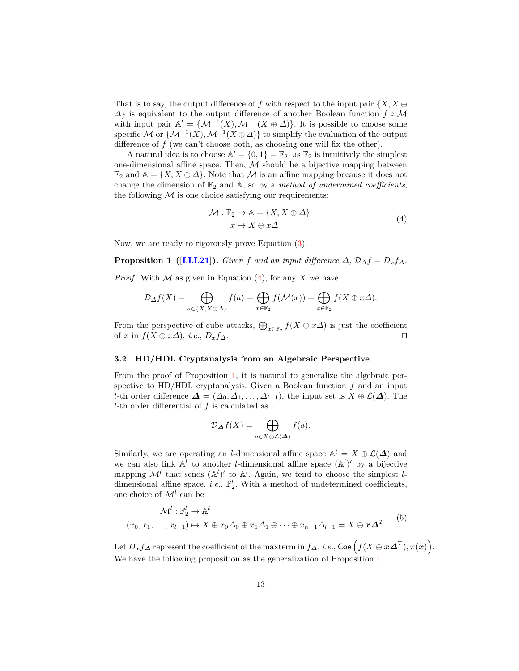That is to say, the output difference of *f* with respect to the input pair  $\{X, X \oplus \emptyset\}$ *∆}* is equivalent to the output difference of another Boolean function *f ◦ M* with input pair  $\mathbb{A}' = \{ \mathcal{M}^{-1}(X), \mathcal{M}^{-1}(X \oplus \Delta) \}$ . It is possible to choose some specific  $\mathcal M$  or  $\{ \mathcal M^{-1}(X), \mathcal M^{-1}(X \oplus \Delta) \}$  to simplify the evaluation of the output difference of *f* (we can't choose both, as choosing one will fix the other).

A natural idea is to choose  $\mathbb{A}' = \{0, 1\} = \mathbb{F}_2$ , as  $\mathbb{F}_2$  is intuitively the simplest one-dimensional affine space. Then,  $M$  should be a bijective mapping between  $\mathbb{F}_2$  and  $\mathbb{A} = \{X, X \oplus \Delta\}$ . Note that *M* is an affine mapping because it does not change the dimension of  $\mathbb{F}_2$  and A, so by a *method of undermined coefficients*, the following  $M$  is one choice satisfying our requirements:

<span id="page-12-0"></span>
$$
\mathcal{M} : \mathbb{F}_2 \to \mathbb{A} = \{X, X \oplus \Delta\}
$$
  

$$
x \mapsto X \oplus x\Delta
$$
 (4)

Now, we are ready to rigorously prove Equation [\(3](#page-2-2)).

<span id="page-12-1"></span>**Proposition 1** ([\[LLL21](#page-32-2)]). *Given f* and an input difference  $\Delta$ ,  $\mathcal{D}_{\Delta} f = D_x f_{\Delta}$ .

*Proof.* With *M* as given in Equation ([4\)](#page-12-0), for any *X* we have

$$
\mathcal{D}_{\Delta}f(X) = \bigoplus_{a \in \{X, X \oplus \Delta\}} f(a) = \bigoplus_{x \in \mathbb{F}_2} f(\mathcal{M}(x)) = \bigoplus_{x \in \mathbb{F}_2} f(X \oplus x \Delta).
$$

From the perspective of cube attacks,  $\bigoplus_{x \in \mathbb{F}_2} f(X \oplus x \Delta)$  is just the coefficient of *x* in  $f(X \oplus x\Delta)$ , *i.e.*,  $D_x f_\Delta$ .

## **3.2 HD/HDL Cryptanalysis from an Algebraic Perspective**

From the proof of Proposition [1](#page-12-1), it is natural to generalize the algebraic perspective to HD/HDL cryptanalysis. Given a Boolean function *f* and an input *l*-th order difference  $\Delta = (\Delta_0, \Delta_1, \ldots, \Delta_{l-1})$ , the input set is  $X \oplus \mathcal{L}(\Delta)$ . The *l*-th order differential of *f* is calculated as

<span id="page-12-3"></span>
$$
\mathcal{D}_{\mathbf{\Delta}}f(X) = \bigoplus_{a \in X \oplus \mathcal{L}(\mathbf{\Delta})} f(a).
$$

Similarly, we are operating an *l*-dimensional affine space  $\mathbb{A}^l = X \oplus \mathcal{L}(\Delta)$  and we can also link  $\mathbb{A}^l$  to another *l*-dimensional affine space  $(\mathbb{A}^l)'$  by a bijective mapping  $\mathcal{M}^l$  that sends  $(\mathbb{A}^l)'$  to  $\mathbb{A}^l$ . Again, we tend to choose the simplest *l*dimensional affine space, *i.e.*,  $\mathbb{F}_2^l$ . With a method of undetermined coefficients, one choice of  $\mathcal{M}^l$  can be

<span id="page-12-2"></span>
$$
\mathcal{M}^l : \mathbb{F}_2^l \to \mathbb{A}^l
$$
  

$$
(x_0, x_1, \dots, x_{l-1}) \mapsto X \oplus x_0 \Delta_0 \oplus x_1 \Delta_1 \oplus \dots \oplus x_{n-1} \Delta_{l-1} = X \oplus x \Delta^T
$$
<sup>(5)</sup>

Let  $D_{\bm{x}} f_{\bm{\Delta}}$  represent the coefficient of the maxterm in  $f_{\bm{\Delta}},$  *i.e.*, Coe  $\left(f(X \oplus \bm{x} \bm{\Delta}^T), \pi(\bm{x})\right)$ . We have the following proposition as the generalization of Proposition [1.](#page-12-1)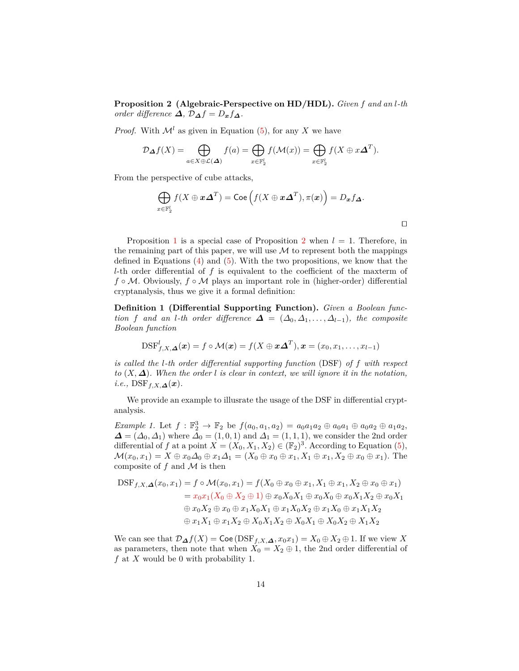**Proposition 2 (Algebraic-Perspective on HD/HDL).** *Given f and an l-th order difference*  $\Delta$ *,*  $\mathcal{D}_{\Delta}f = D_{\boldsymbol{x}}f_{\Delta}$ *.* 

*Proof.* With  $\mathcal{M}^l$  as given in Equation ([5\)](#page-12-2), for any *X* we have

$$
\mathcal{D}_{\Delta}f(X) = \bigoplus_{a \in X \oplus \mathcal{L}(\Delta)} f(a) = \bigoplus_{x \in \mathbb{F}_2^l} f(\mathcal{M}(x)) = \bigoplus_{x \in \mathbb{F}_2^l} f(X \oplus x\Delta^T).
$$

From the perspective of cube attacks,

$$
\bigoplus_{x\in\mathbb{F}_2^l}f(X\oplus x\bm{\varDelta}^T)=\mathsf{Coe}\left(f(X\oplus x\bm{\varDelta}^T),\pi(x)\right)=D_{\bm{x}}f_{\bm{\varDelta}}.
$$

*⊓⊔*

Proposition [1](#page-12-1) is a special case of Proposition [2](#page-12-3) when *l* = 1. Therefore, in the remaining part of this paper, we will use  $M$  to represent both the mappings defined in Equations  $(4)$  $(4)$  and  $(5)$  $(5)$ . With the two propositions, we know that the *l*-th order differential of *f* is equivalent to the coefficient of the maxterm of *f ◦ M*. Obviously, *f ◦ M* plays an important role in (higher-order) differential cryptanalysis, thus we give it a formal definition:

<span id="page-13-0"></span>**Definition 1 (Differential Supporting Function).** *Given a Boolean function f* and an *l*-th order difference  $\Delta = (\Delta_0, \Delta_1, \ldots, \Delta_{l-1})$ , the composite *Boolean function*

$$
\text{DSF}_{f,X,\mathbf{\Delta}}^{l}(\boldsymbol{x})=f \circ \mathcal{M}(\boldsymbol{x})=f(X\oplus \boldsymbol{x}\mathbf{\Delta}^{T}), \boldsymbol{x}=(x_0,x_1,\ldots,x_{l-1})
$$

*is called the l-th order differential supporting function* (DSF) *of f with respect to*  $(X, \Delta)$ *. When the order l is clear in context, we will ignore it in the notation,*  $i.e., \text{DSF}_{f,X,\Delta}(x).$ 

We provide an example to illusrate the usage of the DSF in differential cryptanalysis.

*Example 1.* Let  $f : \mathbb{F}_2^3 \to \mathbb{F}_2$  be  $f(a_0, a_1, a_2) = a_0 a_1 a_2 \oplus a_0 a_1 \oplus a_0 a_2 \oplus a_1 a_2$ ,  $\Delta = (\Delta_0, \Delta_1)$  where  $\Delta_0 = (1, 0, 1)$  and  $\Delta_1 = (1, 1, 1)$ , we consider the 2nd order differential of *f* at a point  $X = (X_0, X_1, X_2) \in (\mathbb{F}_2)^3$ . According to Equation ([5\)](#page-12-2),  $\mathcal{M}(x_0, x_1) = X \oplus x_0 \Delta_0 \oplus x_1 \Delta_1 = (X_0 \oplus x_0 \oplus x_1, X_1 \oplus x_1, X_2 \oplus x_0 \oplus x_1).$  The composite of *f* and *M* is then

$$
DSF_{f,X,\Delta}(x_0, x_1) = f \circ \mathcal{M}(x_0, x_1) = f(X_0 \oplus x_0 \oplus x_1, X_1 \oplus x_1, X_2 \oplus x_0 \oplus x_1)
$$
  
=  $x_0x_1(X_0 \oplus X_2 \oplus 1) \oplus x_0X_0X_1 \oplus x_0X_0 \oplus x_0X_1X_2 \oplus x_0X_1$   
 $\oplus x_0X_2 \oplus x_0 \oplus x_1X_0X_1 \oplus x_1X_0X_2 \oplus x_1X_0 \oplus x_1X_1X_2$   
 $\oplus x_1X_1 \oplus x_1X_2 \oplus X_0X_1X_2 \oplus X_0X_1 \oplus X_0X_2 \oplus X_1X_2$ 

We can see that  $\mathcal{D}_{\Delta}f(X) = \text{Coe}(\text{DSF}_{f,X,\Delta}, x_0x_1) = X_0 \oplus X_2 \oplus 1$ . If we view X as parameters, then note that when  $X_0 = X_2 \oplus 1$ , the 2nd order differential of *f* at *X* would be 0 with probability 1.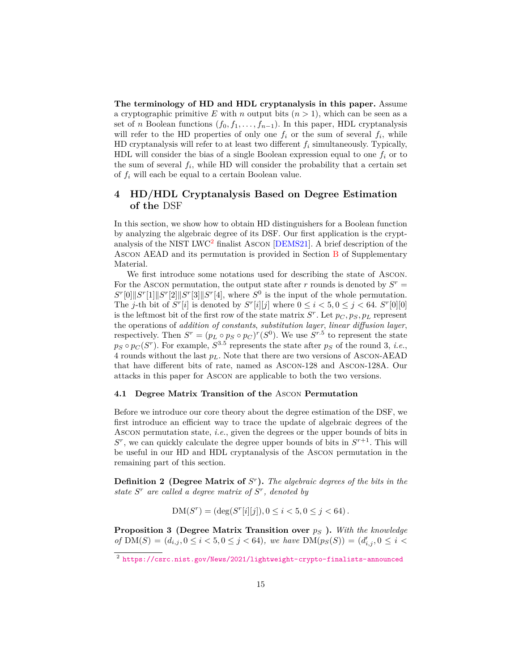**The terminology of HD and HDL cryptanalysis in this paper.** Assume a cryptographic primitive E with *n* output bits  $(n > 1)$ , which can be seen as a set of *n* Boolean functions  $(f_0, f_1, \ldots, f_{n-1})$ . In this paper, HDL cryptanalysis will refer to the HD properties of only one  $f_i$  or the sum of several  $f_i$ , while HD cryptanalysis will refer to at least two different *f<sup>i</sup>* simultaneously. Typically, HDL will consider the bias of a single Boolean expression equal to one  $f_i$  or to the sum of several  $f_i$ , while HD will consider the probability that a certain set of *f<sup>i</sup>* will each be equal to a certain Boolean value.

# <span id="page-14-0"></span>**4 HD/HDL Cryptanalysis Based on Degree Estimation of the** DSF

In this section, we show how to obtain HD distinguishers for a Boolean function by analyzing the algebraic degree of its DSF. Our first application is the cryptanalysis of the NIST  $LWC^2$  $LWC^2$  finalist Ascon [[DEMS21\]](#page-31-6). A brief description of the Ascon AEAD and its permutation is provided in Section [B](#page-34-2) of Supplementary Material.

We first introduce some notations used for describing the state of Ascon. For the ASCON permutation, the output state after  $r$  rounds is denoted by  $S^r =$  $S^{r}[0]$  $||S^{r}[1]$  $||S^{r}[2]$  $||S^{r}[3]$  $||S^{r}[4]$ , where  $S^{0}$  is the input of the whole permutation. The *j*-th bit of  $S^r[i]$  is denoted by  $S^r[i][j]$  where  $0 \le i < 5, 0 \le j < 64$ .  $S^r[0][0]$ is the leftmost bit of the first row of the state matrix *S r* . Let *p<sup>C</sup> , pS, p<sup>L</sup>* represent the operations of *addition of constants*, *substitution layer*, *linear diffusion layer*, respectively. Then  $S^r = (p_L \circ p_S \circ p_C)^r (S^0)$ . We use  $S^{r.5}$  to represent the state  $p_S \circ p_C(S^r)$ . For example,  $S^{3.5}$  represents the state after  $p_S$  of the round 3, *i.e.*, 4 rounds without the last *pL*. Note that there are two versions of Ascon-AEAD that have different bits of rate, named as Ascon-128 and Ascon-128A. Our attacks in this paper for Ascon are applicable to both the two versions.

#### <span id="page-14-3"></span>**4.1 Degree Matrix Transition of the** Ascon **Permutation**

Before we introduce our core theory about the degree estimation of the DSF, we first introduce an efficient way to trace the update of algebraic degrees of the Ascon permutation state, *i.e.*, given the degrees or the upper bounds of bits in  $S<sup>r</sup>$ , we can quickly calculate the degree upper bounds of bits in  $S<sup>r+1</sup>$ . This will be useful in our HD and HDL cryptanalysis of the Ascon permutation in the remaining part of this section.

**Definition 2 (Degree Matrix of** *S r* **).** *The algebraic degrees of the bits in the state S <sup>r</sup> are called a degree matrix of S r , denoted by*

 $DM(S<sup>r</sup>) = (\deg(S<sup>r</sup>[i][j]), 0 \le i < 5, 0 \le j < 64)$ .

<span id="page-14-2"></span>**Proposition 3 (Degree Matrix Transition over** *p<sup>S</sup>* **).** *With the knowledge*  $of$   $DM(S) = (d_{i,j}, 0 \le i < 5, 0 \le j < 64)$ *, we have*  $DM(p_S(S)) = (d'_{i,j}, 0 \le i < 5, 0 \le j < 64)$ 

<span id="page-14-1"></span><sup>2</sup> <https://csrc.nist.gov/News/2021/lightweight-crypto-finalists-announced>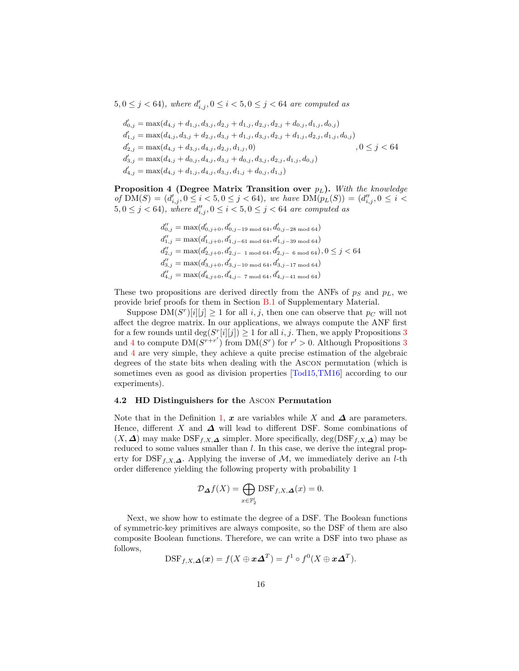$5, 0 \le j < 64$ ), where  $d'_{i,j}, 0 \le i < 5, 0 \le j < 64$  are computed as

$$
d'_{0,j} = \max(d_{4,j} + d_{1,j}, d_{3,j}, d_{2,j} + d_{1,j}, d_{2,j}, d_{2,j} + d_{0,j}, d_{1,j}, d_{0,j})
$$
  
\n
$$
d'_{1,j} = \max(d_{4,j}, d_{3,j} + d_{2,j}, d_{3,j} + d_{1,j}, d_{3,j}, d_{2,j} + d_{1,j}, d_{2,j}, d_{1,j}, d_{0,j})
$$
  
\n
$$
d'_{2,j} = \max(d_{4,j} + d_{3,j}, d_{4,j}, d_{2,j}, d_{1,j}, 0)
$$
  
\n
$$
d'_{3,j} = \max(d_{4,j} + d_{0,j}, d_{4,j}, d_{3,j} + d_{0,j}, d_{3,j}, d_{2,j}, d_{1,j}, d_{0,j})
$$
  
\n
$$
d'_{4,j} = \max(d_{4,j} + d_{1,j}, d_{4,j}, d_{3,j}, d_{1,j} + d_{0,j}, d_{1,j})
$$

<span id="page-15-1"></span>**Proposition 4 (Degree Matrix Transition over** *pL***).** *With the knowledge* of  $DM(S) = (d'_{i,j}, 0 \le i < 5, 0 \le j < 64)$ , we have  $DM(p_L(S)) = (d''_{i,j}, 0 \le i < 5)$  $5, 0 \leq j < 64$ ), where  $d''_{i,j}$ ,  $0 \leq i < 5, 0 \leq j < 64$  are computed as

$$
d_{0,j}^{\prime\prime} = \max(d_{0,j+0}^{\prime}, d_{0,j-19 \mod 64}^{\prime}, d_{0,j-28 \mod 64}^{\prime})
$$
  
\n
$$
d_{1,j}^{\prime\prime} = \max(d_{1,j+0}^{\prime}, d_{1,j-61 \mod 64}^{\prime}, d_{1,j-39 \mod 64}^{\prime})
$$
  
\n
$$
d_{2,j}^{\prime\prime} = \max(d_{2,j+0}^{\prime}, d_{2,j-1 \mod 64}^{\prime}, d_{2,j-6 \mod 64}^{\prime}), 0 \le j < 64
$$
  
\n
$$
d_{3,j}^{\prime\prime} = \max(d_{3,j+0}^{\prime}, d_{3,j-10 \mod 64}^{\prime}, d_{3,j-17 \mod 64}^{\prime})
$$
  
\n
$$
d_{4,j}^{\prime\prime} = \max(d_{4,j+0}^{\prime}, d_{4,j-7 \mod 64}^{\prime}, d_{4,j-41 \mod 64}^{\prime})
$$

These two propositions are derived directly from the ANFs of  $p<sub>S</sub>$  and  $p<sub>L</sub>$ , we provide brief proofs for them in Section [B.1](#page-36-1) of Supplementary Material.

Suppose  $\text{DM}(S^r)[i][j] \geq 1$  for all *i*, *j*, then one can observe that  $p_C$  will not affect the degree matrix. In our applications, we always compute the ANF first for a few rounds until  $\deg(S^r[i][j]) \geq 1$  for all *i*, *j*. Then, we apply Propositions [3](#page-14-2) and [4](#page-15-1) to compute  $DM(S^{r+r'})$  from  $DM(S^r)$  for  $r' > 0$ . Although Propositions [3](#page-14-2) and [4](#page-15-1) are very simple, they achieve a quite precise estimation of the algebraic degrees of the state bits when dealing with the Ascon permutation (which is sometimes even as good as division properties [\[Tod15](#page-33-4)[,TM16](#page-33-5)] according to our experiments).

## <span id="page-15-0"></span>**4.2 HD Distinguishers for the** Ascon **Permutation**

Note that in the Definition [1](#page-13-0),  $x$  are variables while *X* and  $\Delta$  are parameters. Hence, different *X* and  $\Delta$  will lead to different DSF. Some combinations of  $(X, ∆)$  may make DSF<sub>*f,X,* $\triangle$ </sub> simpler. More specifically, deg(DSF<sub>*f,X,* $\triangle$ )</sub> may be reduced to some values smaller than *l*. In this case, we derive the integral property for DSF*f,X,∆*. Applying the inverse of *M*, we immediately derive an *l*-th order difference yielding the following property with probability 1

$$
\mathcal{D}_{\mathbf{\Delta}}f(X) = \bigoplus_{x \in \mathbb{F}_2^l} \text{DSF}_{f,X,\mathbf{\Delta}}(x) = 0.
$$

Next, we show how to estimate the degree of a DSF. The Boolean functions of symmetric-key primitives are always composite, so the DSF of them are also composite Boolean functions. Therefore, we can write a DSF into two phase as follows,

$$
\mathrm{DSF}_{f,X,\mathbf{\Delta}}(\boldsymbol{x}) = f(X \oplus \boldsymbol{x}\mathbf{\Delta}^T) = f^1 \circ f^0(X \oplus \boldsymbol{x}\mathbf{\Delta}^T).
$$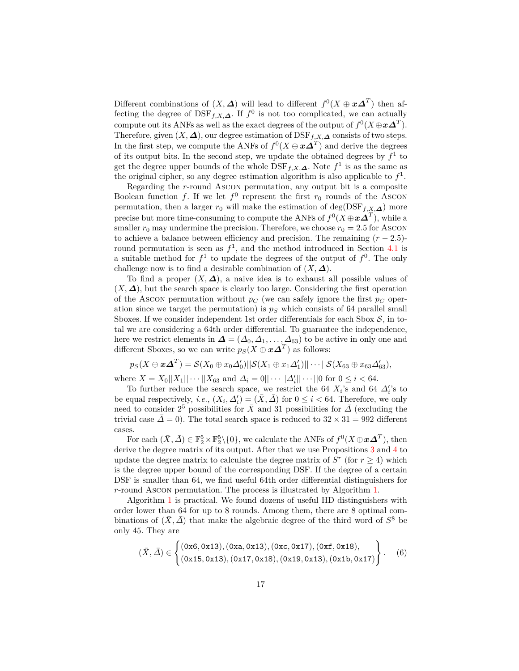Different combinations of  $(X, \Delta)$  will lead to different  $f^0(X \oplus x\Delta^T)$  then affecting the degree of  $\text{DSF}_{f,X,\Delta}$ . If  $f^0$  is not too complicated, we can actually compute out its ANFs as well as the exact degrees of the output of  $f^0(X \oplus x \Delta^T)$ . Therefore, given  $(X, \Delta)$ , our degree estimation of DSF<sub>*f,X,* $\Delta$ </sub> consists of two steps. In the first step, we compute the ANFs of  $f^0(X \oplus x\Delta^T)$  and derive the degrees of its output bits. In the second step, we update the obtained degrees by  $f<sup>1</sup>$  to get the degree upper bounds of the whole  $\text{DSF}_{f,X,\Delta}$ . Note  $f^1$  is as the same as the original cipher, so any degree estimation algorithm is also applicable to  $f^1$ .

Regarding the *r*-round Ascon permutation, any output bit is a composite Boolean function *f*. If we let  $f^0$  represent the first  $r_0$  rounds of the Ascon permutation, then a larger  $r_0$  will make the estimation of deg(DSF<sub>*f,X,∆*) more</sub> precise but more time-consuming to compute the ANFs of  $f^0(X \oplus x \Delta^T)$ , while a smaller  $r_0$  may undermine the precision. Therefore, we choose  $r_0 = 2.5$  for Ascon to achieve a balance between efficiency and precision. The remaining  $(r - 2.5)$ round permutation is seen as  $f^1$ , and the method introduced in Section [4.1](#page-14-3) is a suitable method for  $f^1$  to update the degrees of the output of  $f^0$ . The only challenge now is to find a desirable combination of  $(X, \Delta)$ .

To find a proper  $(X, \Delta)$ , a naive idea is to exhaust all possible values of  $(X, \Delta)$ , but the search space is clearly too large. Considering the first operation of the Ascon permutation without  $p_C$  (we can safely ignore the first  $p_C$  operation since we target the permutation) is *p<sup>S</sup>* which consists of 64 parallel small Sboxes. If we consider independent 1st order differentials for each Sbox *S*, in total we are considering a 64th order differential. To guarantee the independence, here we restrict elements in  $\mathbf{\Delta} = (\Delta_0, \Delta_1, \dots, \Delta_{63})$  to be active in only one and different Sboxes, so we can write  $p_S(X \oplus \mathbf{x}\mathbf{\Delta}^T)$  as follows:

$$
p_S(X \oplus \mathbf{x} \Delta^T) = \mathcal{S}(X_0 \oplus x_0 \Delta'_0) ||\mathcal{S}(X_1 \oplus x_1 \Delta'_1)|| \cdots ||\mathcal{S}(X_{63} \oplus x_{63} \Delta'_{63}),
$$

where  $X = X_0||X_1|| \cdots ||X_{63}$  and  $\Delta_i = 0|| \cdots ||\Delta'_i|| \cdots ||0$  for  $0 \le i < 64$ .

To further reduce the search space, we restrict the 64  $X_i$ 's and 64  $\Delta_i$ 's to be equal respectively, *i.e.*,  $(X_i, \Delta'_i) = (\bar{X}, \bar{\Delta})$  for  $0 \le i < 64$ . Therefore, we only need to consider  $2^5$  possibilities for  $\overline{X}$  and 31 possibilities for  $\overline{\Delta}$  (excluding the trivial case  $\bar{\Delta} = 0$ ). The total search space is reduced to  $32 \times 31 = 992$  different cases.

For each  $(\bar{X}, \bar{\Delta}) \in \mathbb{F}_2^5 \times \mathbb{F}_2^5 \setminus \{0\}$ , we calculate the ANFs of  $f^0(X \oplus x\Delta^T)$ , then derive the degree matrix of its output. After that we use Propositions [3](#page-14-2) and [4](#page-15-1) to update the degree matrix to calculate the degree matrix of  $S<sup>r</sup>$  (for  $r \geq 4$ ) which is the degree upper bound of the corresponding DSF. If the degree of a certain DSF is smaller than 64, we find useful 64th order differential distinguishers for *r*-round Ascon permutation. The process is illustrated by Algorithm [1](#page-17-0).

Algorithm [1](#page-17-0) is practical. We found dozens of useful HD distinguishers with order lower than 64 for up to 8 rounds. Among them, there are 8 optimal combinations of  $(\bar{X}, \bar{\Delta})$  that make the algebraic degree of the third word of  $S^8$  be only 45. They are

<span id="page-16-0"></span>
$$
(\bar{X}, \bar{\Delta}) \in \left\{ \begin{aligned} & (0 \times 6, 0 \times 13), (0 \times a, 0 \times 13), (0 \times c, 0 \times 17), (0 \times f, 0 \times 18), \\ & (0 \times 15, 0 \times 13), (0 \times 17, 0 \times 18), (0 \times 19, 0 \times 13), (0 \times 1b, 0 \times 17) \end{aligned} \right\}.
$$
 (6)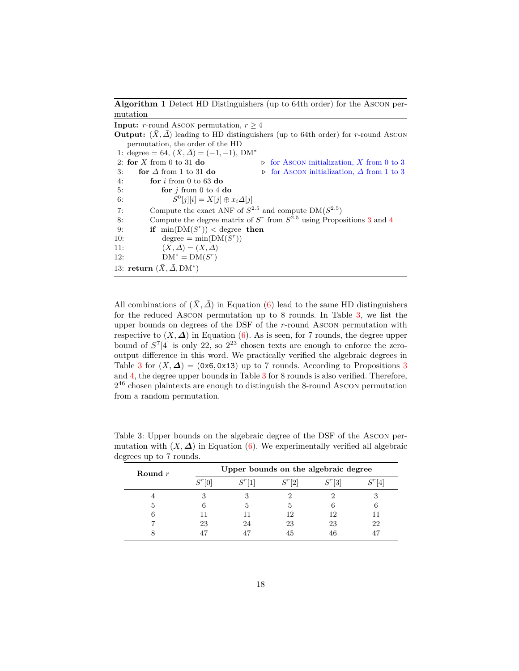<span id="page-17-0"></span>**Algorithm 1** Detect HD Distinguishers (up to 64th order) for the Ascon permutation

**Input:** *r*-round Ascon permutation,  $r > 4$ **Output:**  $(\bar{X}, \bar{\Delta})$  leading to HD distinguishers (up to 64th order) for *r*-round Ascon permutation, the order of the HD 1: degree = 64,  $(\bar{X}, \bar{\Delta}) = (-1, -1)$ , DM<sup>\*</sup> 2: **for**  $X$  from 0 to 31 **do**  $\triangleright$  for Ascon initialization,  $X$  from 0 to 3 3: **for**  $\triangle$  from 1 to 31 **do**  $\triangleright$  for Ascon initialization,  $\triangle$  from 1 to 3 4: **for** *i* from 0 to 63 **do** 5: **for** *j* from 0 to 4 **do** 6: *S*  $^{0}[j][i] = X[j] \oplus x_i \Delta[j]$ 7: Compute the exact ANF of  $S^{2.5}$  and compute  $DM(S^{2.5})$ 8: Compute the degree matrix of  $S<sup>r</sup>$  from  $S<sup>2.5</sup>$  using Propositions [3](#page-14-2) and [4](#page-15-1) 9: **if**  $\min(\text{DM}(S^r)) < \text{degree}$  then 10: degree =  $\min(\text{DM}(S^r))$ 11:  $(\bar{X}, \bar{\Delta}) = (X, \Delta)$ 12:  $DM^* = DM(S^r)$ 13: **return**  $(\bar{X}, \bar{\Delta}, \text{DM}^*)$ 

All combinations of  $(\overline{X}, \overline{\Delta})$  in Equation ([6\)](#page-16-0) lead to the same HD distinguishers for the reduced Ascon permutation up to 8 rounds. In Table [3](#page-17-1), we list the upper bounds on degrees of the DSF of the *r*-round Ascon permutation with respective to  $(X, \Delta)$  in Equation ([6\)](#page-16-0). As is seen, for 7 rounds, the degree upper bound of  $S^7[4]$  is only 22, so  $2^{23}$  chosen texts are enough to enforce the zerooutput difference in this word. We practically verified the algebraic degrees in Table [3](#page-14-2) for  $(X, \Delta) = (0 \times 6, 0 \times 13)$  up to 7 rounds. According to Propositions 3 and [4](#page-15-1), the degree upper bounds in Table [3](#page-17-1) for 8 rounds is also verified. Therefore, 2 <sup>46</sup> chosen plaintexts are enough to distinguish the 8-round Ascon permutation from a random permutation.

| Round $r$ | Upper bounds on the algebraic degree |    |                |     |    |  |  |
|-----------|--------------------------------------|----|----------------|-----|----|--|--|
|           |                                      |    | $C^{T}$<br>[2] | [3] | 4  |  |  |
|           | З                                    | З  |                |     |    |  |  |
| h         | 6                                    | h  |                |     |    |  |  |
|           |                                      |    | 12             | 12  |    |  |  |
|           | 23                                   | 24 | 23             | 23  | 22 |  |  |
|           |                                      |    | 45             |     |    |  |  |

<span id="page-17-1"></span>Table 3: Upper bounds on the algebraic degree of the DSF of the Ascon permutation with  $(X, \Delta)$  in Equation ([6\)](#page-16-0). We experimentally verified all algebraic degrees up to 7 rounds.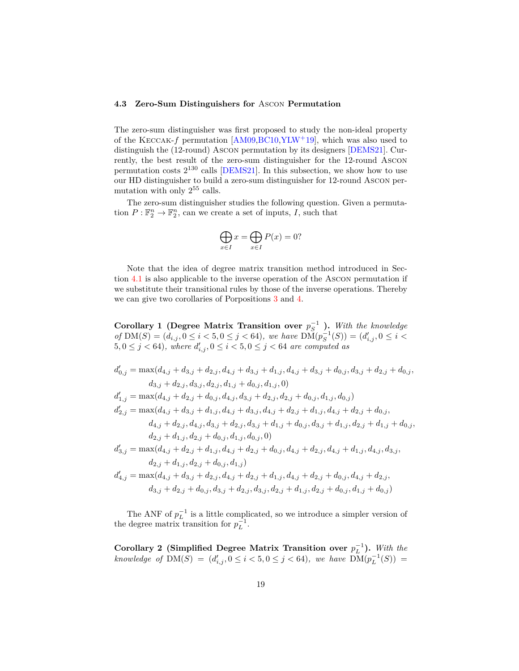#### <span id="page-18-0"></span>**4.3 Zero-Sum Distinguishers for** Ascon **Permutation**

The zero-sum distinguisher was first proposed to study the non-ideal property of the Keccak-*f* permutation [\[AM09](#page-30-8)[,BC10](#page-30-9)[,YLW](#page-33-7)+19], which was also used to distinguish the (12-round) Ascon permutation by its designers [\[DEMS21](#page-31-6)]. Currently, the best result of the zero-sum distinguisher for the 12-round Ascon permutation costs  $2^{130}$  calls [\[DEMS21\]](#page-31-6). In this subsection, we show how to use our HD distinguisher to build a zero-sum distinguisher for 12-round Ascon permutation with only  $2^{55}$  calls.

The zero-sum distinguisher studies the following question. Given a permutation  $P: \mathbb{F}_2^n \to \mathbb{F}_2^n$ , can we create a set of inputs, *I*, such that

$$
\bigoplus_{x \in I} x = \bigoplus_{x \in I} P(x) = 0?
$$

Note that the idea of degree matrix transition method introduced in Section [4.1](#page-14-3) is also applicable to the inverse operation of the Ascon permutation if we substitute their transitional rules by those of the inverse operations. Thereby we can give two corollaries of Porpositions [3](#page-14-2) and [4](#page-15-1).

<span id="page-18-1"></span>**Corollary 1 (Degree Matrix Transition over**  $p_S^{-1}$  ). With the knowledge of  $\text{DM}(S) = (d_{i,j}, 0 \le i < 5, 0 \le j < 64)$ , we have  $\text{DM}(p_S^{-1}(S)) = (d'_{i,j}, 0 \le i < 64)$  $5, 0 \le j < 64$ ), where  $d'_{i,j}, 0 \le i < 5, 0 \le j < 64$  are computed as

$$
\begin{aligned} d'_{0,j} &= \max(d_{4,j}+d_{3,j}+d_{2,j}, d_{4,j}+d_{3,j}+d_{1,j}, d_{4,j}+d_{3,j}+d_{0,j}, d_{3,j}+d_{2,j}+d_{0,j}, \\ d_{3,j}+d_{2,j}, d_{3,j}, d_{2,j}, d_{1,j}+d_{0,j}, d_{1,j}, 0) \\ d'_{1,j} &= \max(d_{4,j}+d_{2,j}+d_{0,j}, d_{4,j}, d_{3,j}+d_{2,j}, d_{2,j}+d_{0,j}, d_{1,j}, d_{0,j}) \\ d'_{2,j} &= \max(d_{4,j}+d_{3,j}+d_{1,j}, d_{4,j}+d_{3,j}, d_{4,j}+d_{2,j}+d_{1,j}, d_{4,j}+d_{2,j}+d_{0,j}, \\ d_{4,j}+d_{2,j}, d_{4,j}, d_{3,j}+d_{2,j}, d_{3,j}+d_{1,j}+d_{0,j}, d_{3,j}+d_{1,j}, d_{2,j}+d_{1,j}+d_{0,j}, \\ d'_{3,j} &= \max(d_{4,j}+d_{2,j}+d_{1,j}, d_{4,j}+d_{2,j}+d_{0,j}, d_{4,j}+d_{2,j}, d_{4,j}+d_{1,j}, d_{4,j}, d_{3,j}, \\ d_{2,j}+d_{1,j}, d_{2,j}+d_{0,j}, d_{1,j}) \\ d'_{4,j} &= \max(d_{4,j}+d_{3,j}+d_{2,j}, d_{4,j}+d_{2,j}+d_{1,j}, d_{4,j}+d_{2,j}+d_{0,j}, d_{4,j}+d_{2,j}, \\ d_{3,j}+d_{2,j}+d_{0,j}, d_{3,j}+d_{2,j}, d_{3,j}, d_{2,j}+d_{1,j}, d_{2,j}+d_{0,j}, d_{1,j}+d_{0,j}) \end{aligned}
$$

<span id="page-18-2"></span>The ANF of  $p_L^{-1}$  is a little complicated, so we introduce a simpler version of the degree matrix transition for  $p_L^{-1}$ .

**Corollary 2 (Simplified Degree Matrix Transition over**  $p_L^{-1}$ ). With the *knowledge of*  $DM(S) = (d'_{i,j}, 0 \le i < 5, 0 \le j < 64)$ *, we have*  $DM(p_L^{-1}(S)) =$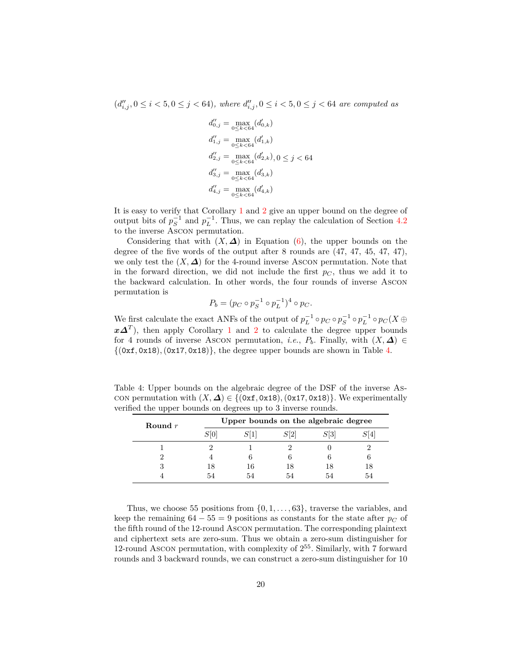$(d''_{i,j}, 0 \le i < 5, 0 \le j < 64)$ , where  $d''_{i,j}, 0 \le i < 5, 0 \le j < 64$  are computed as

$$
d''_{0,j} = \max_{0 \le k < 64} (d'_{0,k})
$$
\n
$$
d''_{1,j} = \max_{0 \le k < 64} (d'_{1,k})
$$
\n
$$
d''_{2,j} = \max_{0 \le k < 64} (d'_{2,k}), 0 \le j < 64
$$
\n
$$
d''_{3,j} = \max_{0 \le k < 64} (d'_{3,k})
$$
\n
$$
d''_{4,j} = \max_{0 \le k < 64} (d'_{4,k})
$$

It is easy to verify that Corollary [1](#page-18-1) and [2](#page-18-2) give an upper bound on the degree of output bits of  $p_S^{-1}$  and  $p_L^{-1}$ . Thus, we can replay the calculation of Section [4.2](#page-15-0) to the inverse Ascon permutation.

Considering that with  $(X, \Delta)$  in Equation [\(6](#page-16-0)), the upper bounds on the degree of the five words of the output after 8 rounds are (47, 47, 45, 47, 47), we only test the  $(X, \Delta)$  for the 4-round inverse Ascon permutation. Note that in the forward direction, we did not include the first  $p_C$ , thus we add it to the backward calculation. In other words, the four rounds of inverse Ascon permutation is

$$
P_b = (p_C \circ p_S^{-1} \circ p_L^{-1})^4 \circ p_C.
$$

We first calculate the exact ANFs of the output of  $p_L^{-1} \circ p_C \circ p_S^{-1} \circ p_L^{-1} \circ p_C(X \oplus$ *x***∆**<sup>*T*</sup>), then apply Corollary [1](#page-18-1) and [2](#page-18-2) to calculate the degree upper bounds for 4 rounds of inverse Ascon permutation, *i.e.*,  $P_b$ . Finally, with  $(X, \Delta) \in$  $\{(0\text{xf}, 0\text{xf2}), (0\text{xf7}, 0\text{xf3})\}$ , the degree upper bounds are shown in Table [4](#page-19-0).

<span id="page-19-0"></span>Table 4: Upper bounds on the algebraic degree of the DSF of the inverse Ascon permutation with  $(X, \Delta) \in \{(\text{0xf}, \text{0x18}), (\text{0x17}, \text{0x18})\}$ . We experimentally verified the upper bounds on degrees up to 3 inverse rounds.

| Round $r$ | Upper bounds on the algebraic degree |    |      |    |    |  |  |
|-----------|--------------------------------------|----|------|----|----|--|--|
|           |                                      |    | S[2] |    |    |  |  |
|           |                                      |    |      |    |    |  |  |
|           |                                      |    |      |    |    |  |  |
|           |                                      | 16 | 18   | 18 | 18 |  |  |
|           |                                      |    |      |    |    |  |  |

Thus, we choose 55 positions from *{*0*,* 1*, . . . ,* 63*}*, traverse the variables, and keep the remaining  $64 - 55 = 9$  positions as constants for the state after  $p_C$  of the fifth round of the 12-round Ascon permutation. The corresponding plaintext and ciphertext sets are zero-sum. Thus we obtain a zero-sum distinguisher for 12-round Ascon permutation, with complexity of 2 <sup>55</sup>. Similarly, with 7 forward rounds and 3 backward rounds, we can construct a zero-sum distinguisher for 10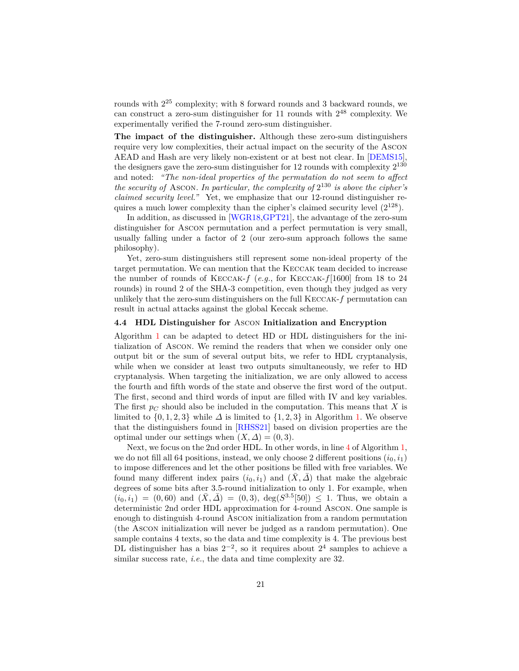rounds with 2 <sup>25</sup> complexity; with 8 forward rounds and 3 backward rounds, we can construct a zero-sum distinguisher for 11 rounds with 2 <sup>48</sup> complexity. We experimentally verified the 7-round zero-sum distinguisher.

**The impact of the distinguisher.** Although these zero-sum distinguishers require very low complexities, their actual impact on the security of the Ascon AEAD and Hash are very likely non-existent or at best not clear. In [\[DEMS15](#page-31-9)], the designers gave the zero-sum distinguisher for 12 rounds with complexity  $2^{130}$ and noted: *"The non-ideal properties of the permutation do not seem to affect the security of* Ascon*. In particular, the complexity of* 2 <sup>130</sup> *is above the cipher's claimed security level."* Yet, we emphasize that our 12-round distinguisher requires a much lower complexity than the cipher's claimed security level  $(2^{128})$ .

In addition, as discussed in [\[WGR18](#page-33-8), GPT21], the advantage of the zero-sum distinguisher for Ascon permutation and a perfect permutation is very small, usually falling under a factor of 2 (our zero-sum approach follows the same philosophy).

Yet, zero-sum distinguishers still represent some non-ideal property of the target permutation. We can mention that the Keccak team decided to increase the number of rounds of Keccak-*f* (*e.g.*, for Keccak-*f*[1600] from 18 to 24 rounds) in round 2 of the SHA-3 competition, even though they judged as very unlikely that the zero-sum distinguishers on the full Keccak-*f* permutation can result in actual attacks against the global Keccak scheme.

## <span id="page-20-0"></span>**4.4 HDL Distinguisher for** Ascon **Initialization and Encryption**

Algorithm [1](#page-17-0) can be adapted to detect HD or HDL distinguishers for the initialization of Ascon. We remind the readers that when we consider only one output bit or the sum of several output bits, we refer to HDL cryptanalysis, while when we consider at least two outputs simultaneously, we refer to HD cryptanalysis. When targeting the initialization, we are only allowed to access the fourth and fifth words of the state and observe the first word of the output. The first, second and third words of input are filled with IV and key variables. The first  $p_C$  should also be included in the computation. This means that X is limited to  $\{0, 1, 2, 3\}$  while  $\Delta$  is limited to  $\{1, 2, 3\}$  in Algorithm [1.](#page-17-0) We observe that the distinguishers found in [[RHSS21](#page-32-9)] based on division properties are the optimal under our settings when  $(X, \Delta) = (0, 3)$ .

Next, we focus on the 2nd order HDL. In other words, in line [4](#page-17-0) of Algorithm [1,](#page-17-0) we do not fill all 64 positions, instead, we only choose 2 different positions  $(i_0, i_1)$ to impose differences and let the other positions be filled with free variables. We found many different index pairs  $(i_0, i_1)$  and  $(\bar{X}, \bar{\Delta})$  that make the algebraic degrees of some bits after 3.5-round initialization to only 1. For example, when  $(i_0, i_1) = (0, 60)$  and  $(\bar{X}, \bar{\Delta}) = (0, 3)$ , deg( $S^{3.5}$ [50])  $\leq 1$ . Thus, we obtain a deterministic 2nd order HDL approximation for 4-round Ascon. One sample is enough to distinguish 4-round Ascon initialization from a random permutation (the Ascon initialization will never be judged as a random permutation). One sample contains 4 texts, so the data and time complexity is 4. The previous best DL distinguisher has a bias  $2^{-2}$ , so it requires about  $2^4$  samples to achieve a similar success rate, *i.e.*, the data and time complexity are 32.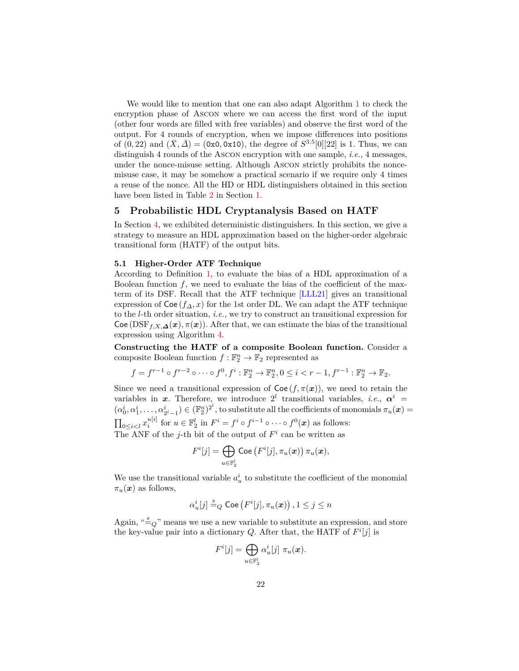We would like to mention that one can also adapt Algorithm [1](#page-17-0) to check the encryption phase of Ascon where we can access the first word of the input (other four words are filled with free variables) and observe the first word of the output. For 4 rounds of encryption, when we impose differences into positions of  $(0, 22)$  and  $(\bar{X}, \bar{\Delta}) = (0 \times 0, 0 \times 10)$ , the degree of  $S^{3.5}[0][22]$  is 1. Thus, we can distinguish 4 rounds of the Ascon encryption with one sample, *i.e.*, 4 messages, under the nonce-misuse setting. Although Ascon strictly prohibits the noncemisuse case, it may be somehow a practical scenario if we require only 4 times a reuse of the nonce. All the HD or HDL distinguishers obtained in this section have been listed in Table [2](#page-8-0) in Section [1.](#page-1-0)

# <span id="page-21-0"></span>**5 Probabilistic HDL Cryptanalysis Based on HATF**

In Section [4](#page-14-0), we exhibited deterministic distinguishers. In this section, we give a strategy to measure an HDL approximation based on the higher-order algebraic transitional form (HATF) of the output bits.

#### **5.1 Higher-Order ATF Technique**

According to Definition [1](#page-13-0), to evaluate the bias of a HDL approximation of a Boolean function *f*, we need to evaluate the bias of the coefficient of the maxterm of its DSF. Recall that the ATF technique [[LLL21](#page-32-2)] gives an transitional expression of  $\text{Coe}(f_{\Delta},x)$  for the 1st order DL. We can adapt the ATF technique to the *l*-th order situation, *i.e.*, we try to construct an transitional expression for Coe ( $\text{DSF}_{f,X,\Delta}(\boldsymbol{x}), \pi(\boldsymbol{x})$ ). After that, we can estimate the bias of the transitional expression using Algorithm [4.](#page-34-0)

**Constructing the HATF of a composite Boolean function.** Consider a composite Boolean function  $f : \mathbb{F}_2^n \to \mathbb{F}_2$  represented as

$$
f = f^{r-1} \circ f^{r-2} \circ \cdots \circ f^0, f^i : \mathbb{F}_2^n \to \mathbb{F}_2^n, 0 \le i < r-1, f^{r-1} : \mathbb{F}_2^n \to \mathbb{F}_2.
$$

Since we need a transitional expression of  $\text{Coe}(f, \pi(\boldsymbol{x}))$ , we need to retain the variables in *x*. Therefore, we introduce  $2^l$  transitional variables, *i.e.*,  $\alpha^i$  =  $(\alpha_0^i, \alpha_1^i, \ldots, \alpha_{2^l-1}^i) \in (\mathbb{F}_2^n)^{2^l}$ , to substitute all the coefficients of monomials  $\pi_u(\boldsymbol{x}) =$  $\prod_{0 \leq i < l} x_i^{u[i]}$  for  $u \in \mathbb{F}_2^l$  in  $F^i = f^i \circ f^{i-1} \circ \cdots \circ f^0(\boldsymbol{x})$  as follows: The ANF of the *j*-th bit of the output of  $F^i$  can be written as

$$
F^i[j] = \bigoplus_{u \in \mathbb{F}_2^l} \mathsf{Coe}\left(F^i[j], \pi_u(\boldsymbol{x})\right) \pi_u(\boldsymbol{x}),
$$

We use the transitional variable  $a^i_u$  to substitute the coefficient of the monomial  $\pi_u(\bm{x})$  as follows,

$$
\alpha_u^i[j] \stackrel{s}{=}{}_Q \text{Coe}\left(F^i[j], \pi_u(\boldsymbol{x})\right), 1 \le j \le n
$$

Again, " $\stackrel{s}{=}o$ " means we use a new variable to substitute an expression, and store the key-value pair into a dictionary *Q*. After that, the HATF of  $F^i[j]$  is

$$
F^i[j] = \bigoplus_{u \in \mathbb{F}_2^l} \alpha_u^i[j] \pi_u(\boldsymbol{x}).
$$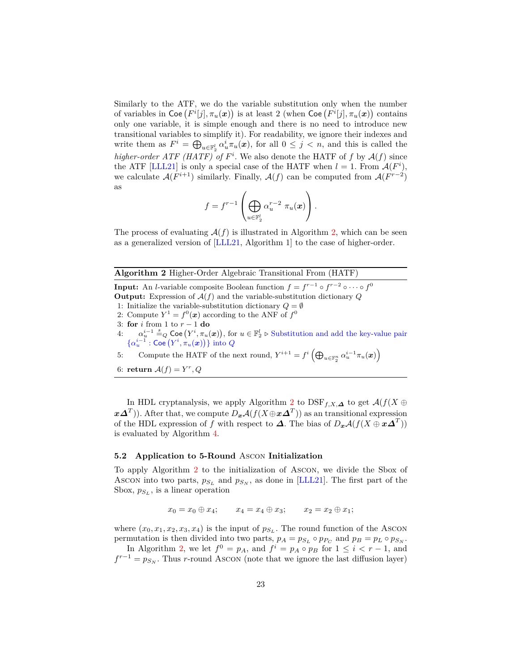Similarly to the ATF, we do the variable substitution only when the number of variables in  $\mathsf{Coe}\left(F^i[j], \pi_u(\boldsymbol{x})\right)$  is at least 2 (when  $\mathsf{Coe}\left(F^i[j], \pi_u(\boldsymbol{x})\right)$  contains only one variable, it is simple enough and there is no need to introduce new transitional variables to simplify it). For readability, we ignore their indexes and write them as  $F^i = \bigoplus_{u \in \mathbb{F}_2^l} \alpha_u^i \pi_u(x)$ , for all  $0 \leq j < n$ , and this is called the *higher-order ATF (HATF) of*  $F^i$ . We also denote the HATF of *f* by  $\mathcal{A}(f)$  since the ATF [[LLL21\]](#page-32-2) is only a special case of the HATF when  $l = 1$ . From  $\mathcal{A}(F^i)$ , we calculate  $\mathcal{A}(F^{i+1})$  similarly. Finally,  $\mathcal{A}(f)$  can be computed from  $\mathcal{A}(F^{r-2})$ as

$$
f = f^{r-1}\left(\bigoplus_{u \in \mathbb{F}_2^l} \alpha_u^{r-2} \pi_u(\boldsymbol{x})\right).
$$

The process of evaluating  $A(f)$  is illustrated in Algorithm [2](#page-22-1), which can be seen as a generalized version of [[LLL21](#page-32-2), Algorithm 1] to the case of higher-order.

#### <span id="page-22-1"></span>**Algorithm 2** Higher-Order Algebraic Transitional From (HATF)

**Input:** An *l*-variable composite Boolean function  $f = f^{r-1} \circ f^{r-2} \circ \cdots \circ f^0$ **Output:** Expression of  $A(f)$  and the variable-substitution dictionary  $Q$ 1: Initialize the variable-substitution dictionary  $Q = \emptyset$ 

- 2: Compute  $Y^1 = f^0(x)$  according to the ANF of  $f^0$
- 3: **for** *i* from 1 to *r −* 1 **do**
- 
- 4:  $\alpha_u^{i-1} \stackrel{s}{=} _Q \text{Coe}(Y^i, \pi_u(x)),$  for  $u \in \mathbb{F}_2^l \triangleright$  Substitution and add the key-value pair  $\{\alpha^{i-1}_u : \mathsf{Coe}\left(Y^i, \pi_u(\boldsymbol{x})\right)\}$  into  $Q$
- 5: Compute the HATF of the next round,  $Y^{i+1} = f^i \left( \bigoplus_{u \in \mathbb{F}_2^n} \alpha_u^{i-1} \pi_u(x) \right)$
- 6: **return**  $\mathcal{A}(f) = Y^r, Q$

In HDL cryptanalysis, we apply Algorithm [2](#page-22-1) to  $\text{DSF}_{f,X,\Delta}$  to get  $\mathcal{A}(f(X \oplus$  $x\Delta^T$ )). After that, we compute  $D_x\mathcal{A}(f(X \oplus x\Delta^T))$  as an transitional expression of the HDL expression of *f* with respect to  $\Delta$ . The bias of  $D_x\mathcal{A}(f(X \oplus x\Delta^T))$ is evaluated by Algorithm [4](#page-34-0).

#### <span id="page-22-0"></span>**5.2 Application to 5-Round** Ascon **Initialization**

To apply Algorithm [2](#page-22-1) to the initialization of Ascon, we divide the Sbox of Ascon into two parts,  $p_{S_L}$  and  $p_{S_N}$ , as done in [[LLL21\]](#page-32-2). The first part of the Sbox,  $p_{S_L}$ , is a linear operation

$$
x_0 = x_0 \oplus x_4;
$$
  $x_4 = x_4 \oplus x_3;$   $x_2 = x_2 \oplus x_1;$ 

where  $(x_0, x_1, x_2, x_3, x_4)$  is the input of  $p_{S_L}$ . The round function of the Ascon permutation is then divided into two parts,  $p_A = p_{S_L} \circ p_{P_C}$  and  $p_B = p_L \circ p_{S_N}$ .

In Algorithm [2](#page-22-1), we let  $f^0 = p_A$ , and  $f^i = p_A \circ p_B$  for  $1 \leq i < r - 1$ , and  $f^{r-1} = p_{S_N}$ . Thus *r*-round Ascon (note that we ignore the last diffusion layer)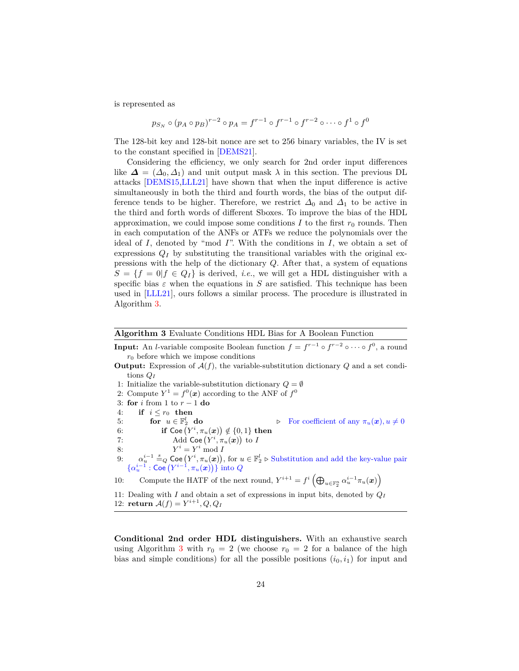is represented as

$$
p_{S_N} \circ (p_A \circ p_B)^{r-2} \circ p_A = f^{r-1} \circ f^{r-1} \circ f^{r-2} \circ \cdots \circ f^1 \circ f^0
$$

The 128-bit key and 128-bit nonce are set to 256 binary variables, the IV is set to the constant specified in [[DEMS21\]](#page-31-6).

Considering the efficiency, we only search for 2nd order input differences like  $\Delta = (\Delta_0, \Delta_1)$  and unit output mask  $\lambda$  in this section. The previous DL attacks [[DEMS15](#page-31-9)[,LLL21](#page-32-2)] have shown that when the input difference is active simultaneously in both the third and fourth words, the bias of the output difference tends to be higher. Therefore, we restrict  $\Delta_0$  and  $\Delta_1$  to be active in the third and forth words of different Sboxes. To improve the bias of the HDL approximation, we could impose some conditions  $I$  to the first  $r_0$  rounds. Then in each computation of the ANFs or ATFs we reduce the polynomials over the ideal of *I*, denoted by "mod *I*". With the conditions in *I*, we obtain a set of expressions  $Q_I$  by substituting the transitional variables with the original expressions with the help of the dictionary *Q*. After that, a system of equations  $S = \{f = 0 | f \in Q_I\}$  is derived, *i.e.*, we will get a HDL distinguisher with a specific bias  $\varepsilon$  when the equations in  $S$  are satisfied. This technique has been used in [[LLL21](#page-32-2)], ours follows a similar process. The procedure is illustrated in Algorithm [3.](#page-23-0)

## <span id="page-23-0"></span>**Algorithm 3** Evaluate Conditions HDL Bias for A Boolean Function

**Input:** An *l*-variable composite Boolean function  $f = f^{r-1} \circ f^{r-2} \circ \cdots \circ f^0$ , a round  $r_0$  before which we impose conditions

- **Output:** Expression of *A*(*f*), the variable-substitution dictionary *Q* and a set conditions *Q<sup>I</sup>*
- 1: Initialize the variable-substitution dictionary  $Q = \emptyset$
- 2: Compute  $Y^1 = f^0(x)$  according to the ANF of  $f^0$
- 3: **for** *i* from 1 to *r −* 1 **do**
- 4: **if**  $i \leq r_0$  **then**

5: **for**  $u \in \mathbb{F}_2^l$  $\triangleright$  For coefficient of any  $\pi_u(\boldsymbol{x}), u \neq 0$ 6: **if**  $\mathsf{Coe}\left(Y^{i}, \pi_{u}(\boldsymbol{x})\right) \notin \{0, 1\}$  then

- 7: Add Coe  $(Y^i, \pi_u(\boldsymbol{x}))$  to *I*
- 8: *Y*  $i = Y^i \text{ mod } I$
- 9:  $\alpha_u^{i-1} \stackrel{s}{=}$   $\phi$  Coe  $(Y^i, \pi_u(x))$ , for  $u \in \mathbb{F}_2^l \triangleright$  Substitution and add the key-value pair  $\{\alpha^{i-1}_u : \mathsf{Coe}\left(Y^{i-1}, \pi_u(\boldsymbol{x})\right)\}$  into  $Q$

10: Compute the HATF of the next round, 
$$
Y^{i+1} = f^i \left( \bigoplus_{u \in \mathbb{F}_2^n} \alpha_u^{i-1} \pi_u(x) \right)
$$

11: Dealing with *I* and obtain a set of expressions in input bits, denoted by *Q<sup>I</sup>* 12: **return**  $A(f) = Y^{i+1}, Q, Q_I$ 

**Conditional 2nd order HDL distinguishers.** With an exhaustive search using Algorithm [3](#page-23-0) with  $r_0 = 2$  (we choose  $r_0 = 2$  for a balance of the high bias and simple conditions) for all the possible positions  $(i_0, i_1)$  for input and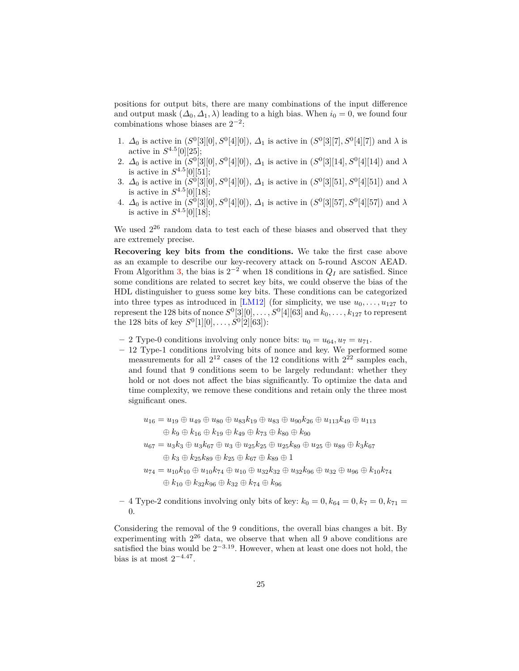positions for output bits, there are many combinations of the input difference and output mask  $(\Delta_0, \Delta_1, \lambda)$  leading to a high bias. When  $i_0 = 0$ , we found four combinations whose biases are 2 *−*2 :

- 1.  $\Delta_0$  is active in  $(S^0[3][0], S^0[4][0])$ ,  $\Delta_1$  is active in  $(S^0[3][7], S^0[4][7])$  and  $\lambda$  is active in  $S^{4.5}[0][25]$ ;
- 2.  $\Delta_0$  is active in  $(S^0[3][0], S^0[4][0])$ ,  $\Delta_1$  is active in  $(S^0[3][14], S^0[4][14])$  and  $\lambda$ is active in  $S^{4.5}[0][51]$ ;
- 3.  $\Delta_0$  is active in  $(S^0[3][0], S^0[4][0])$ ,  $\Delta_1$  is active in  $(S^0[3][51], S^0[4][51])$  and  $\lambda$ is active in  $S^{4.5}[0][18]$ ;
- 4.  $\Delta_0$  is active in  $(S^0[3][0], S^0[4][0])$ ,  $\Delta_1$  is active in  $(S^0[3][57], S^0[4][57])$  and  $\lambda$ is active in  $S^{4.5}[0][18]$ ;

We used  $2^{26}$  random data to test each of these biases and observed that they are extremely precise.

**Recovering key bits from the conditions.** We take the first case above as an example to describe our key-recovery attack on 5-round Ascon AEAD. From Algorithm [3,](#page-23-0) the bias is 2 *<sup>−</sup>*<sup>2</sup> when 18 conditions in *Q<sup>I</sup>* are satisfied. Since some conditions are related to secret key bits, we could observe the bias of the HDL distinguisher to guess some key bits. These conditions can be categorized into three types as introduced in [[LM12](#page-32-13)] (for simplicity, we use  $u_0, \ldots, u_{127}$  to represent the 128 bits of nonce  $S^0[3][0],\ldots,S^0[4][63]$  and  $k_0,\ldots,k_{127}$  to represent the 128 bits of key  $S^0[1][0], \ldots, S^0[2][63]$ :

- $-2$  Type-0 conditions involving only nonce bits:  $u_0 = u_{64}, u_7 = u_{71}$ .
- **–** 12 Type-1 conditions involving bits of nonce and key. We performed some measurements for all  $2^{12}$  cases of the 12 conditions with  $2^{22}$  samples each, and found that 9 conditions seem to be largely redundant: whether they hold or not does not affect the bias significantly. To optimize the data and time complexity, we remove these conditions and retain only the three most significant ones.

 $u_{16} = u_{19} \oplus u_{49} \oplus u_{80} \oplus u_{83}k_{19} \oplus u_{83} \oplus u_{90}k_{26} \oplus u_{113}k_{49} \oplus u_{113}$ *⊕ k*<sup>9</sup> *⊕ k*<sup>16</sup> *⊕ k*<sup>19</sup> *⊕ k*<sup>49</sup> *⊕ k*<sup>73</sup> *⊕ k*<sup>80</sup> *⊕ k*<sup>90</sup>

- $u_{67} = u_3k_3 \oplus u_3k_{67} \oplus u_3 \oplus u_{25}k_{25} \oplus u_{25}k_{89} \oplus u_{25} \oplus u_{89} \oplus k_3k_{67}$ *⊕ k*<sup>3</sup> *⊕ k*25*k*<sup>89</sup> *⊕ k*<sup>25</sup> *⊕ k*<sup>67</sup> *⊕ k*<sup>89</sup> *⊕* 1
- $u_{74} = u_{10}k_{10} \oplus u_{10}k_{74} \oplus u_{10} \oplus u_{32}k_{32} \oplus u_{32}k_{96} \oplus u_{32} \oplus u_{96} \oplus k_{10}k_{74}$ *⊕ k*<sup>10</sup> *⊕ k*32*k*<sup>96</sup> *⊕ k*<sup>32</sup> *⊕ k*<sup>74</sup> *⊕ k*<sup>96</sup>

 $-4$  Type-2 conditions involving only bits of key:  $k_0 = 0, k_{64} = 0, k_7 = 0, k_{71} = 0$ 0*.*

Considering the removal of the 9 conditions, the overall bias changes a bit. By experimenting with  $2^{26}$  data, we observe that when all 9 above conditions are satisfied the bias would be 2 *<sup>−</sup>*3*.*<sup>19</sup>. However, when at least one does not hold, the bias is at most 2 *−*4*.*47 .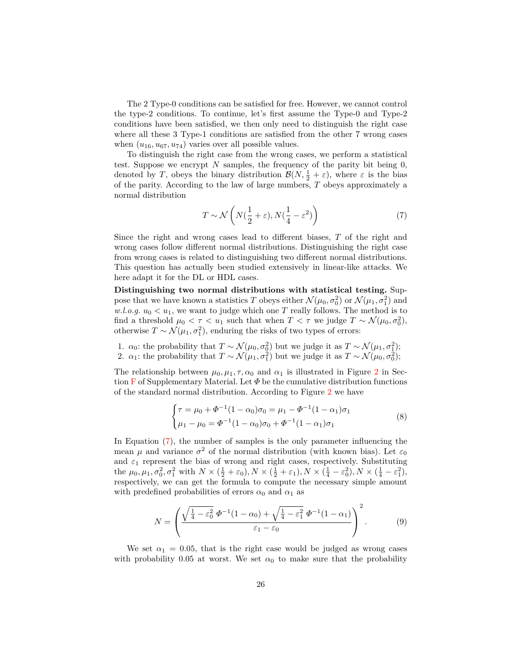The 2 Type-0 conditions can be satisfied for free. However, we cannot control the type-2 conditions. To continue, let's first assume the Type-0 and Type-2 conditions have been satisfied, we then only need to distinguish the right case where all these 3 Type-1 conditions are satisfied from the other 7 wrong cases when  $(u_{16}, u_{67}, u_{74})$  varies over all possible values.

To distinguish the right case from the wrong cases, we perform a statistical test. Suppose we encrypt *N* samples, the frequency of the parity bit being 0, denoted by *T*, obeys the binary distribution  $\mathcal{B}(N, \frac{1}{2} + \varepsilon)$ , where  $\varepsilon$  is the bias of the parity. According to the law of large numbers, *T* obeys approximately a normal distribution

<span id="page-25-1"></span>
$$
T \sim \mathcal{N}\left(N(\frac{1}{2} + \varepsilon), N(\frac{1}{4} - \varepsilon^2)\right) \tag{7}
$$

Since the right and wrong cases lead to different biases, *T* of the right and wrong cases follow different normal distributions. Distinguishing the right case from wrong cases is related to distinguishing two different normal distributions. This question has actually been studied extensively in linear-like attacks. We here adapt it for the DL or HDL cases.

**Distinguishing two normal distributions with statistical testing.** Suppose that we have known a statistics *T* obeys either  $\mathcal{N}(\mu_0, \sigma_0^2)$  or  $\mathcal{N}(\mu_1, \sigma_1^2)$  and *w.l.o.g.*  $u_0 < u_1$ , we want to judge which one *T* really follows. The method is to find a threshold  $\mu_0 < \tau < u_1$  such that when  $T < \tau$  we judge  $T \sim \mathcal{N}(\mu_0, \sigma_0^2)$ , otherwise  $T \sim \mathcal{N}(\mu_1, \sigma_1^2)$ , enduring the risks of two types of errors:

1. *α*<sub>0</sub>: the probability that  $T \sim \mathcal{N}(\mu_0, \sigma_0^2)$  but we judge it as  $T \sim \mathcal{N}(\mu_1, \sigma_1^2)$ ; 2.  $\alpha_1$ : the probability that  $T \sim \mathcal{N}(\mu_1, \sigma_1^2)$  but we judge it as  $T \sim \mathcal{N}(\mu_0, \sigma_0^2)$ ;

The relationship between  $\mu_0, \mu_1, \tau, \alpha_0$  and  $\alpha_1$  is illustrated in Figure [2](#page-42-0) in Sec-tion [F](#page-42-1) of Supplementary Material. Let  $\Phi$  be the cumulative distribution functions of the standard normal distribution. According to Figure [2](#page-42-0) we have

<span id="page-25-2"></span>
$$
\begin{cases}\n\tau = \mu_0 + \Phi^{-1}(1 - \alpha_0)\sigma_0 = \mu_1 - \Phi^{-1}(1 - \alpha_1)\sigma_1 \\
\mu_1 - \mu_0 = \Phi^{-1}(1 - \alpha_0)\sigma_0 + \Phi^{-1}(1 - \alpha_1)\sigma_1\n\end{cases}
$$
\n(8)

In Equation ([7\)](#page-25-1), the number of samples is the only parameter influencing the mean  $\mu$  and variance  $\sigma^2$  of the normal distribution (with known bias). Let  $\varepsilon_0$ and  $\varepsilon_1$  represent the bias of wrong and right cases, respectively. Substituting the  $\mu_0, \mu_1, \sigma_0^2, \sigma_1^2$  with  $N \times (\frac{1}{2} + \varepsilon_0), N \times (\frac{1}{2} + \varepsilon_1), N \times (\frac{1}{4} - \varepsilon_0^2), N \times (\frac{1}{4} - \varepsilon_1^2),$ respectively, we can get the formula to compute the necessary simple amount with predefined probabilities of errors  $\alpha_0$  and  $\alpha_1$  as

<span id="page-25-0"></span>
$$
N = \left(\frac{\sqrt{\frac{1}{4} - \varepsilon_0^2} \ \Phi^{-1} (1 - \alpha_0) + \sqrt{\frac{1}{4} - \varepsilon_1^2} \ \Phi^{-1} (1 - \alpha_1)}{\varepsilon_1 - \varepsilon_0}\right)^2.
$$
 (9)

We set  $\alpha_1 = 0.05$ , that is the right case would be judged as wrong cases with probability 0.05 at worst. We set  $\alpha_0$  to make sure that the probability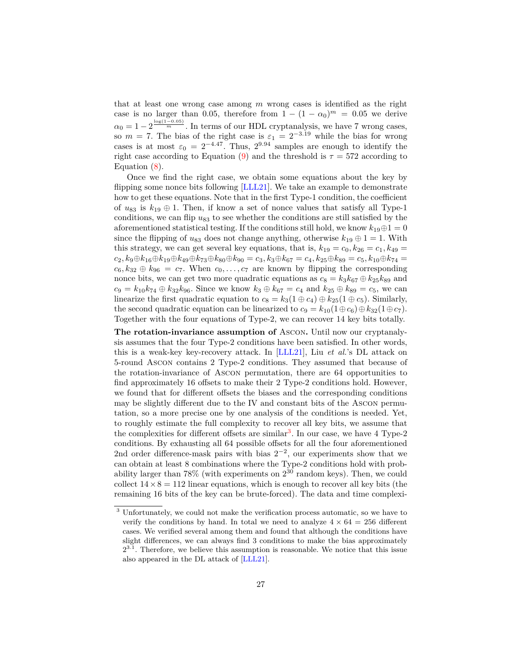that at least one wrong case among *m* wrong cases is identified as the right case is no larger than 0.05, therefore from  $1 - (1 - \alpha_0)^m = 0.05$  we derive  $\alpha_0 = 1 - 2^{\frac{\log(1 - 0.05)}{m}}$ . In terms of our HDL cryptanalysis, we have 7 wrong cases, so  $m = 7$ . The bias of the right case is  $\varepsilon_1 = 2^{-3.19}$  while the bias for wrong cases is at most  $\varepsilon_0 = 2^{-4.47}$ . Thus,  $2^{9.94}$  samples are enough to identify the right case according to Equation [\(9\)](#page-25-0) and the threshold is  $\tau = 572$  according to Equation ([8\)](#page-25-2).

Once we find the right case, we obtain some equations about the key by flipping some nonce bits following[[LLL21\]](#page-32-2). We take an example to demonstrate how to get these equations. Note that in the first Type-1 condition, the coefficient of  $u_{83}$  is  $k_{19} \oplus 1$ . Then, if know a set of nonce values that satisfy all Type-1 conditions, we can flip  $u_{83}$  to see whether the conditions are still satisfied by the aforementioned statistical testing. If the conditions still hold, we know  $k_{19} \oplus 1 = 0$ since the flipping of  $u_{83}$  does not change anything, otherwise  $k_{19} \oplus 1 = 1$ . With this strategy, we can get several key equations, that is,  $k_{19} = c_0, k_{26} = c_1, k_{49} =$  $c_2, k_9 \oplus k_{16} \oplus k_{19} \oplus k_{49} \oplus k_{73} \oplus k_{80} \oplus k_{90} = c_3, k_3 \oplus k_{67} = c_4, k_{25} \oplus k_{89} = c_5, k_{10} \oplus k_{74} =$  $c_6, k_{32} \oplus k_{96} = c_7$ . When  $c_0, \ldots, c_7$  are known by flipping the corresponding nonce bits, we can get two more quadratic equations as  $c_8 = k_3 k_{67} \oplus k_{25} k_{89}$  and *c*<sub>9</sub> =  $k_{10}k_{74} ⊕ k_{32}k_{96}$ . Since we know  $k_3 ⊕ k_{67} = c_4$  and  $k_{25} ⊕ k_{89} = c_5$ , we can linearize the first quadratic equation to  $c_8 = k_3(1 \oplus c_4) \oplus k_{25}(1 \oplus c_5)$ . Similarly, the second quadratic equation can be linearized to  $c_9 = k_{10}(1 \oplus c_6) \oplus k_{32}(1 \oplus c_7)$ . Together with the four equations of Type-2, we can recover 14 key bits totally.

**The rotation-invariance assumption of** Ascon**.** Until now our cryptanalysis assumes that the four Type-2 conditions have been satisfied. In other words, this is a weak-key key-recovery attack. In [[LLL21](#page-32-2)], Liu *et al.*'s DL attack on 5-round Ascon contains 2 Type-2 conditions. They assumed that because of the rotation-invariance of Ascon permutation, there are 64 opportunities to find approximately 16 offsets to make their 2 Type-2 conditions hold. However, we found that for different offsets the biases and the corresponding conditions may be slightly different due to the IV and constant bits of the Ascon permutation, so a more precise one by one analysis of the conditions is needed. Yet, to roughly estimate the full complexity to recover all key bits, we assume that the complexities for different offsets are similar<sup>[3](#page-26-0)</sup>. In our case, we have 4 Type-2 conditions. By exhausting all 64 possible offsets for all the four aforementioned 2nd order difference-mask pairs with bias  $2^{-2}$ , our experiments show that we can obtain at least 8 combinations where the Type-2 conditions hold with probability larger than  $78\%$  (with experiments on  $2^{30}$  random keys). Then, we could collect  $14 \times 8 = 112$  linear equations, which is enough to recover all key bits (the remaining 16 bits of the key can be brute-forced). The data and time complexi-

<span id="page-26-0"></span><sup>&</sup>lt;sup>3</sup> Unfortunately, we could not make the verification process automatic, so we have to verify the conditions by hand. In total we need to analyze  $4 \times 64 = 256$  different cases. We verified several among them and found that although the conditions have slight differences, we can always find 3 conditions to make the bias approximately  $2^{3.1}$ . Therefore, we believe this assumption is reasonable. We notice that this issue also appeared in the DL attack of [[LLL21](#page-32-2)].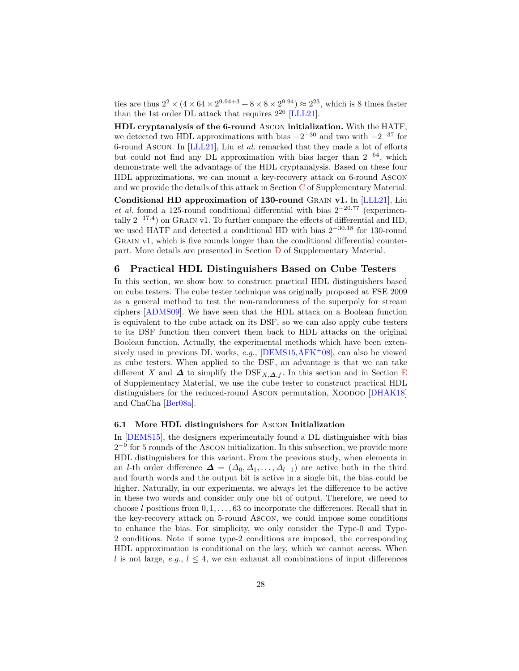ties are thus  $2^2 \times (4 \times 64 \times 2^{9.94+3} + 8 \times 8 \times 2^{9.94}) \approx 2^{23}$ , which is 8 times faster than the 1st order DL attack that requires  $2^{26}$  [[LLL21](#page-32-2)].

**HDL cryptanalysis of the 6-round** Ascon **initialization.** With the HATF, we detected two HDL approximations with bias *−*2 *<sup>−</sup>*<sup>30</sup> and two with *−*2 *<sup>−</sup>*<sup>37</sup> for 6-round Ascon. In [\[LLL21\]](#page-32-2), Liu *et al.* remarked that they made a lot of efforts but could not find any DL approximation with bias larger than 2 *<sup>−</sup>*64, which demonstrate well the advantage of the HDL cryptanalysis. Based on these four HDL approximations, we can mount a key-recovery attack on 6-round Ascon and we provide the details of this attack in Section [C](#page-36-0) of Supplementary Material.

**Conditional HD approximation of 130-round** Grain **v1.** In [[LLL21](#page-32-2)], Liu *et al.* found a 125-round conditional differential with bias  $2^{-20.77}$  (experimentally  $2^{-17.4}$ ) on GRAIN v1. To further compare the effects of differential and HD, we used HATF and detected a conditional HD with bias 2 *<sup>−</sup>*30*.*<sup>18</sup> for 130-round GRAIN v1, which is five rounds longer than the conditional differential counterpart. More details are presented in Section [D](#page-37-0) of Supplementary Material.

# <span id="page-27-1"></span>**6 Practical HDL Distinguishers Based on Cube Testers**

In this section, we show how to construct practical HDL distinguishers based on cube testers. The cube tester technique was originally proposed at FSE 2009 as a general method to test the non-randomness of the superpoly for stream ciphers [\[ADMS09\]](#page-30-10). We have seen that the HDL attack on a Boolean function is equivalent to the cube attack on its DSF, so we can also apply cube testers to its DSF function then convert them back to HDL attacks on the original Boolean function. Actually, the experimental methods which have been extensively used in previous DL works, *e.g.*, [[DEMS15,](#page-31-9)[AFK](#page-30-7)<sup>+</sup>08], can also be viewed as cube testers. When applied to the DSF, an advantage is that we can take different *X* and  $\Delta$  to simplify the DSF<sub>*X*</sub>, $\Delta$ <sub>*,f*</sub>. In this section and in Section [E](#page-38-1) of Supplementary Material, we use the cube tester to construct practical HDL distinguishers for the reduced-round Ascon permutation, Xoodoo [[DHAK18\]](#page-31-8) and ChaCha [[Ber08a\]](#page-30-6).

## <span id="page-27-0"></span>**6.1 More HDL distinguishers for** Ascon **Initialization**

In [\[DEMS15](#page-31-9)], the designers experimentally found a DL distinguisher with bias 2<sup>−9</sup> for 5 rounds of the Ascon initialization. In this subsection, we provide more HDL distinguishers for this variant. From the previous study, when elements in an *l*-th order difference  $\Delta = (\Delta_0, \Delta_1, \ldots, \Delta_{l-1})$  are active both in the third and fourth words and the output bit is active in a single bit, the bias could be higher. Naturally, in our experiments, we always let the difference to be active in these two words and consider only one bit of output. Therefore, we need to choose *l* positions from 0*,* 1*, . . . ,* 63 to incorporate the differences. Recall that in the key-recovery attack on 5-round Ascon, we could impose some conditions to enhance the bias. For simplicity, we only consider the Type-0 and Type-2 conditions. Note if some type-2 conditions are imposed, the corresponding HDL approximation is conditional on the key, which we cannot access. When *l* is not large, *e.g.*,  $l \leq 4$ , we can exhaust all combinations of input differences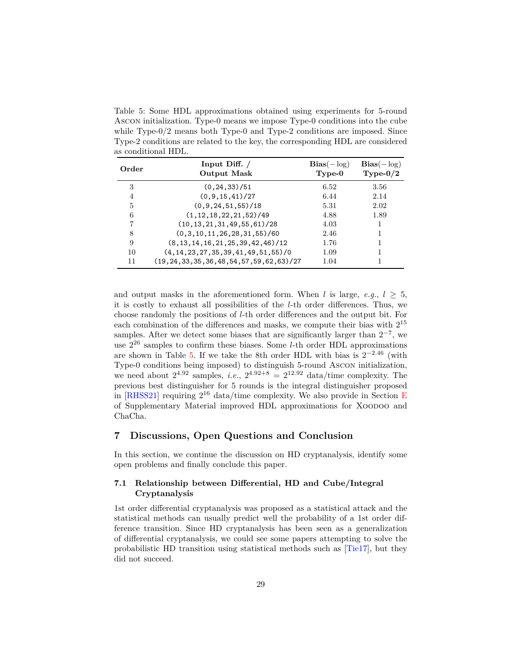<span id="page-28-1"></span>Table 5: Some HDL approximations obtained using experiments for 5-round Ascon initialization. Type-0 means we impose Type-0 conditions into the cube while Type-0/2 means both Type-0 and Type-2 conditions are imposed. Since Type-2 conditions are related to the key, the corresponding HDL are considered as conditional HDL.

| Order | Input Diff. $/$<br>Output Mask                    | $Bias(-log)$<br>$Type-0$ | $Bias(-log)$<br>$Type-0/2$ |
|-------|---------------------------------------------------|--------------------------|----------------------------|
| 3     | (0, 24, 33)/51                                    | 6.52                     | 3.56                       |
| 4     | (0, 9, 15, 41)/27                                 | 6.44                     | 2.14                       |
| 5     | (0, 9, 24, 51, 55)/18                             | 5.31                     | 2.02                       |
| 6     | (1, 12, 18, 22, 21, 52)/49                        | 4.88                     | 1.89                       |
| 7     | (10, 13, 21, 31, 49, 55, 61)/28                   | 4.03                     | 1                          |
| 8     | (0,3,10,11,26,28,31,55)/60                        | 2.46                     |                            |
| 9     | $(8, 13, 14, 16, 21, 25, 39, 42, 46)/12$          | 1.76                     |                            |
| 10    | $(4, 14, 23, 27, 35, 39, 41, 49, 51, 55)/0$       | 1.09                     |                            |
| 11    | $(19, 24, 33, 35, 36, 48, 54, 57, 59, 62, 63)/27$ | 1.04                     |                            |

and output masks in the aforementioned form. When *l* is large, *e.g.*,  $l \geq 5$ , it is costly to exhaust all possibilities of the *l*-th order differences. Thus, we choose randomly the positions of *l*-th order differences and the output bit. For each combination of the differences and masks, we compute their bias with  $2^{15}$ samples. After we detect some biases that are significantly larger than  $2^{-7}$ , we use 2 <sup>26</sup> samples to confirm these biases. Some *l*-th order HDL approximations are shown in Table [5](#page-28-1). If we take the 8th order HDL with bias is 2 *<sup>−</sup>*2*.*<sup>46</sup> (with Type-0 conditions being imposed) to distinguish 5-round Ascon initialization, we need about  $2^{4.92}$  samples, *i.e.*,  $2^{4.92+8} = 2^{12.92}$  data/time complexity. The previous best distinguisher for 5 rounds is the integral distinguisher proposed in [[RHSS21](#page-32-9)] requiring  $2^{16}$  data/time complexity. We also provide in Section [E](#page-38-1) of Supplementary Material improved HDL approximations for Xoodoo and ChaCha.

# <span id="page-28-0"></span>**7 Discussions, Open Questions and Conclusion**

In this section, we continue the discussion on HD cryptanalysis, identify some open problems and finally conclude this paper.

# **7.1 Relationship between Differential, HD and Cube/Integral Cryptanalysis**

1st order differential cryptanalysis was proposed as a statistical attack and the statistical methods can usually predict well the probability of a 1st order difference transition. Since HD cryptanalysis has been seen as a generalization of differential cryptanalysis, we could see some papers attempting to solve the probabilistic HD transition using statistical methods such as[[Tie17](#page-33-2)], but they did not succeed.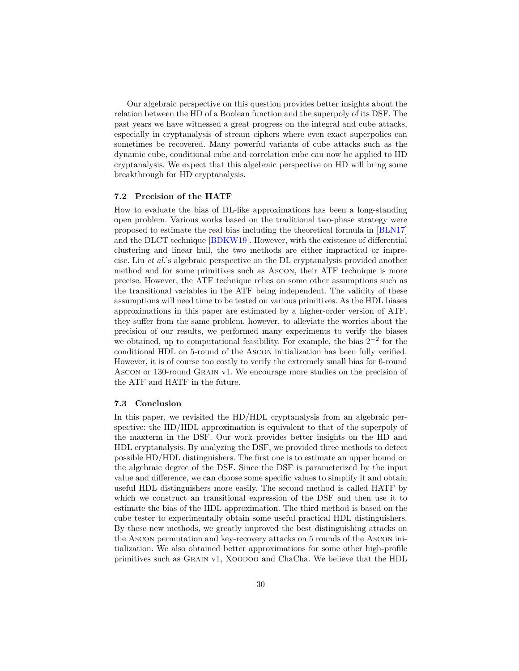Our algebraic perspective on this question provides better insights about the relation between the HD of a Boolean function and the superpoly of its DSF. The past years we have witnessed a great progress on the integral and cube attacks, especially in cryptanalysis of stream ciphers where even exact superpolies can sometimes be recovered. Many powerful variants of cube attacks such as the dynamic cube, conditional cube and correlation cube can now be applied to HD cryptanalysis. We expect that this algebraic perspective on HD will bring some breakthrough for HD cryptanalysis.

#### **7.2 Precision of the HATF**

How to evaluate the bias of DL-like approximations has been a long-standing open problem. Various works based on the traditional two-phase strategy were proposed to estimate the real bias including the theoretical formula in [\[BLN17\]](#page-31-3) and the DLCT technique [[BDKW19](#page-30-2)]. However, with the existence of differential clustering and linear hull, the two methods are either impractical or imprecise. Liu *et al.*'s algebraic perspective on the DL cryptanalysis provided another method and for some primitives such as Ascon, their ATF technique is more precise. However, the ATF technique relies on some other assumptions such as the transitional variables in the ATF being independent. The validity of these assumptions will need time to be tested on various primitives. As the HDL biases approximations in this paper are estimated by a higher-order version of ATF, they suffer from the same problem. however, to alleviate the worries about the precision of our results, we performed many experiments to verify the biases we obtained, up to computational feasibility. For example, the bias  $2^{-2}$  for the conditional HDL on 5-round of the Ascon initialization has been fully verified. However, it is of course too costly to verify the extremely small bias for 6-round Ascon or 130-round Grain v1. We encourage more studies on the precision of the ATF and HATF in the future.

#### **7.3 Conclusion**

In this paper, we revisited the HD/HDL cryptanalysis from an algebraic perspective: the HD/HDL approximation is equivalent to that of the superpoly of the maxterm in the DSF. Our work provides better insights on the HD and HDL cryptanalysis. By analyzing the DSF, we provided three methods to detect possible HD/HDL distinguishers. The first one is to estimate an upper bound on the algebraic degree of the DSF. Since the DSF is parameterized by the input value and difference, we can choose some specific values to simplify it and obtain useful HDL distinguishers more easily. The second method is called HATF by which we construct an transitional expression of the DSF and then use it to estimate the bias of the HDL approximation. The third method is based on the cube tester to experimentally obtain some useful practical HDL distinguishers. By these new methods, we greatly improved the best distinguishing attacks on the Ascon permutation and key-recovery attacks on 5 rounds of the Ascon initialization. We also obtained better approximations for some other high-profile primitives such as Grain v1, Xoodoo and ChaCha. We believe that the HDL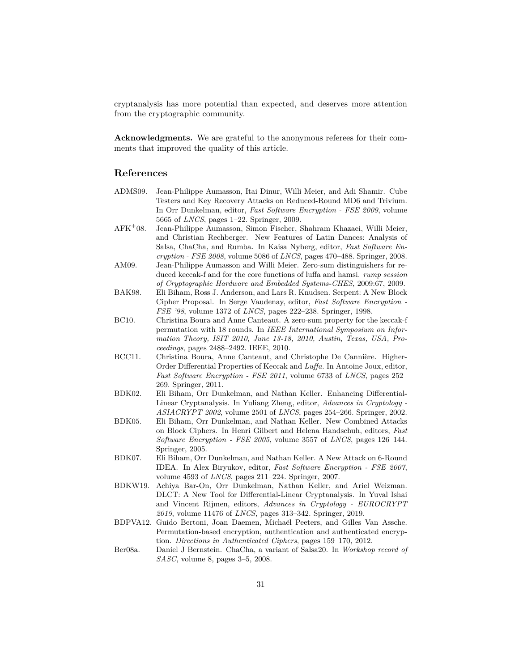cryptanalysis has more potential than expected, and deserves more attention from the cryptographic community.

**Acknowledgments.** We are grateful to the anonymous referees for their comments that improved the quality of this article.

## **References**

- <span id="page-30-10"></span>ADMS09. Jean-Philippe Aumasson, Itai Dinur, Willi Meier, and Adi Shamir. Cube Testers and Key Recovery Attacks on Reduced-Round MD6 and Trivium. In Orr Dunkelman, editor, *Fast Software Encryption - FSE 2009*, volume 5665 of *LNCS*, pages 1–22. Springer, 2009.
- <span id="page-30-7"></span>AFK<sup>+</sup>08. Jean-Philippe Aumasson, Simon Fischer, Shahram Khazaei, Willi Meier, and Christian Rechberger. New Features of Latin Dances: Analysis of Salsa, ChaCha, and Rumba. In Kaisa Nyberg, editor, *Fast Software Encryption - FSE 2008*, volume 5086 of *LNCS*, pages 470–488. Springer, 2008. AM09. Jean-Philippe Aumasson and Willi Meier. Zero-sum distinguishers for re-
- <span id="page-30-8"></span>duced keccak-f and for the core functions of luffa and hamsi. *rump session of Cryptographic Hardware and Embedded Systems-CHES*, 2009:67, 2009.
- <span id="page-30-1"></span>BAK98. Eli Biham, Ross J. Anderson, and Lars R. Knudsen. Serpent: A New Block Cipher Proposal. In Serge Vaudenay, editor, *Fast Software Encryption - FSE '98*, volume 1372 of *LNCS*, pages 222–238. Springer, 1998.
- <span id="page-30-9"></span>BC10. Christina Boura and Anne Canteaut. A zero-sum property for the keccak-f permutation with 18 rounds. In *IEEE International Symposium on Information Theory, ISIT 2010, June 13-18, 2010, Austin, Texas, USA, Proceedings*, pages 2488–2492. IEEE, 2010.
- <span id="page-30-4"></span>BCC11. Christina Boura, Anne Canteaut, and Christophe De Cannière. Higher-Order Differential Properties of Keccak and *Luffa*. In Antoine Joux, editor, *Fast Software Encryption - FSE 2011*, volume 6733 of *LNCS*, pages 252– 269. Springer, 2011.
- <span id="page-30-0"></span>BDK02. Eli Biham, Orr Dunkelman, and Nathan Keller. Enhancing Differential-Linear Cryptanalysis. In Yuliang Zheng, editor, *Advances in Cryptology - ASIACRYPT 2002*, volume 2501 of *LNCS*, pages 254–266. Springer, 2002.
- <span id="page-30-3"></span>BDK05. Eli Biham, Orr Dunkelman, and Nathan Keller. New Combined Attacks on Block Ciphers. In Henri Gilbert and Helena Handschuh, editors, *Fast Software Encryption - FSE 2005*, volume 3557 of *LNCS*, pages 126–144. Springer, 2005.
- <span id="page-30-5"></span>BDK07. Eli Biham, Orr Dunkelman, and Nathan Keller. A New Attack on 6-Round IDEA. In Alex Biryukov, editor, *Fast Software Encryption - FSE 2007*, volume 4593 of *LNCS*, pages 211–224. Springer, 2007.
- <span id="page-30-2"></span>BDKW19. Achiya Bar-On, Orr Dunkelman, Nathan Keller, and Ariel Weizman. DLCT: A New Tool for Differential-Linear Cryptanalysis. In Yuval Ishai and Vincent Rijmen, editors, *Advances in Cryptology - EUROCRYPT 2019*, volume 11476 of *LNCS*, pages 313–342. Springer, 2019.
- <span id="page-30-11"></span>BDPVA12. Guido Bertoni, Joan Daemen, Michaël Peeters, and Gilles Van Assche. Permutation-based encryption, authentication and authenticated encryption. *Directions in Authenticated Ciphers*, pages 159–170, 2012.
- <span id="page-30-6"></span>Ber08a. Daniel J Bernstein. ChaCha, a variant of Salsa20. In *Workshop record of SASC*, volume 8, pages 3–5, 2008.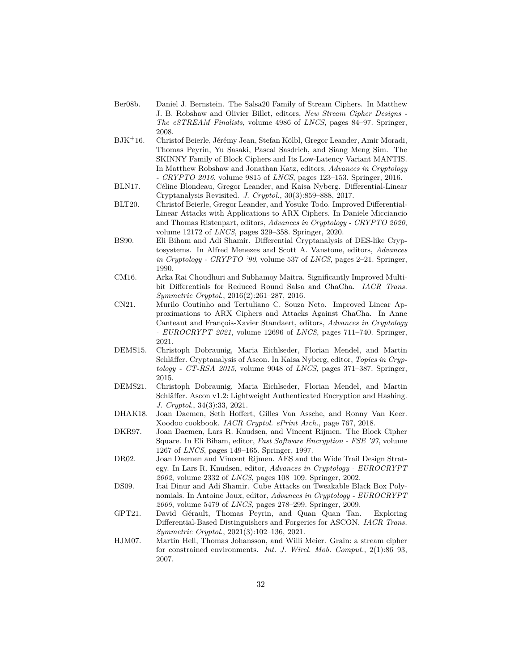- <span id="page-31-4"></span>Ber08b. Daniel J. Bernstein. The Salsa20 Family of Stream Ciphers. In Matthew J. B. Robshaw and Olivier Billet, editors, *New Stream Cipher Designs - The eSTREAM Finalists*, volume 4986 of *LNCS*, pages 84–97. Springer, 2008.
- <span id="page-31-2"></span>BJK<sup>+</sup>16. Christof Beierle, Jérémy Jean, Stefan Kölbl, Gregor Leander, Amir Moradi, Thomas Peyrin, Yu Sasaki, Pascal Sasdrich, and Siang Meng Sim. The SKINNY Family of Block Ciphers and Its Low-Latency Variant MANTIS. In Matthew Robshaw and Jonathan Katz, editors, *Advances in Cryptology - CRYPTO 2016*, volume 9815 of *LNCS*, pages 123–153. Springer, 2016.
- <span id="page-31-3"></span>BLN17. Céline Blondeau, Gregor Leander, and Kaisa Nyberg. Differential-Linear Cryptanalysis Revisited. *J. Cryptol.*, 30(3):859–888, 2017.
- <span id="page-31-13"></span>BLT20. Christof Beierle, Gregor Leander, and Yosuke Todo. Improved Differential-Linear Attacks with Applications to ARX Ciphers. In Daniele Micciancio and Thomas Ristenpart, editors, *Advances in Cryptology - CRYPTO 2020*, volume 12172 of *LNCS*, pages 329–358. Springer, 2020.
- <span id="page-31-0"></span>BS90. Eli Biham and Adi Shamir. Differential Cryptanalysis of DES-like Cryptosystems. In Alfred Menezes and Scott A. Vanstone, editors, *Advances in Cryptology - CRYPTO '90*, volume 537 of *LNCS*, pages 2–21. Springer, 1990.
- <span id="page-31-5"></span>CM16. Arka Rai Choudhuri and Subhamoy Maitra. Significantly Improved Multibit Differentials for Reduced Round Salsa and ChaCha. *IACR Trans. Symmetric Cryptol.*, 2016(2):261–287, 2016.
- <span id="page-31-14"></span>CN21. Murilo Coutinho and Tertuliano C. Souza Neto. Improved Linear Approximations to ARX Ciphers and Attacks Against ChaCha. In Anne Canteaut and François-Xavier Standaert, editors, *Advances in Cryptology - EUROCRYPT 2021*, volume 12696 of *LNCS*, pages 711–740. Springer, 2021.
- <span id="page-31-9"></span>DEMS15. Christoph Dobraunig, Maria Eichlseder, Florian Mendel, and Martin Schläffer. Cryptanalysis of Ascon. In Kaisa Nyberg, editor, *Topics in Cryptology - CT-RSA 2015*, volume 9048 of *LNCS*, pages 371–387. Springer, 2015.
- <span id="page-31-6"></span>DEMS21. Christoph Dobraunig, Maria Eichlseder, Florian Mendel, and Martin Schläffer. Ascon v1.2: Lightweight Authenticated Encryption and Hashing. *J. Cryptol.*, 34(3):33, 2021.
- <span id="page-31-8"></span>DHAK18. Joan Daemen, Seth Hoffert, Gilles Van Assche, and Ronny Van Keer. Xoodoo cookbook. *IACR Cryptol. ePrint Arch.*, page 767, 2018.
- <span id="page-31-11"></span>DKR97. Joan Daemen, Lars R. Knudsen, and Vincent Rijmen. The Block Cipher Square. In Eli Biham, editor, *Fast Software Encryption - FSE '97*, volume 1267 of *LNCS*, pages 149–165. Springer, 1997.
- <span id="page-31-1"></span>DR02. Joan Daemen and Vincent Rijmen. AES and the Wide Trail Design Strategy. In Lars R. Knudsen, editor, *Advances in Cryptology - EUROCRYPT 2002*, volume 2332 of *LNCS*, pages 108–109. Springer, 2002.
- <span id="page-31-12"></span>DS09. Itai Dinur and Adi Shamir. Cube Attacks on Tweakable Black Box Polynomials. In Antoine Joux, editor, *Advances in Cryptology - EUROCRYPT 2009*, volume 5479 of *LNCS*, pages 278–299. Springer, 2009.
- <span id="page-31-10"></span>GPT21. David Gérault, Thomas Peyrin, and Quan Quan Tan. Exploring Differential-Based Distinguishers and Forgeries for ASCON. *IACR Trans. Symmetric Cryptol.*, 2021(3):102–136, 2021.
- <span id="page-31-7"></span>HJM07. Martin Hell, Thomas Johansson, and Willi Meier. Grain: a stream cipher for constrained environments. *Int. J. Wirel. Mob. Comput.*, 2(1):86–93, 2007.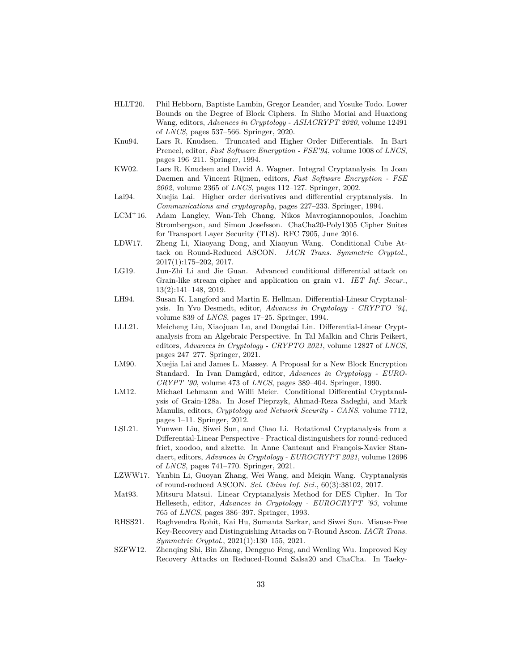- <span id="page-32-12"></span>HLLT20. Phil Hebborn, Baptiste Lambin, Gregor Leander, and Yosuke Todo. Lower Bounds on the Degree of Block Ciphers. In Shiho Moriai and Huaxiong Wang, editors, *Advances in Cryptology - ASIACRYPT 2020*, volume 12491 of *LNCS*, pages 537–566. Springer, 2020.
- <span id="page-32-4"></span>Knu94. Lars R. Knudsen. Truncated and Higher Order Differentials. In Bart Preneel, editor, *Fast Software Encryption - FSE'94*, volume 1008 of *LNCS*, pages 196–211. Springer, 1994.
- <span id="page-32-5"></span>KW02. Lars R. Knudsen and David A. Wagner. Integral Cryptanalysis. In Joan Daemen and Vincent Rijmen, editors, *Fast Software Encryption - FSE 2002*, volume 2365 of *LNCS*, pages 112–127. Springer, 2002.
- <span id="page-32-3"></span>Lai94. Xuejia Lai. Higher order derivatives and differential cryptanalysis. In *Communications and cryptography*, pages 227–233. Springer, 1994.
- <span id="page-32-15"></span>LCM<sup>+</sup>16. Adam Langley, Wan-Teh Chang, Nikos Mavrogiannopoulos, Joachim Strombergson, and Simon Josefsson. ChaCha20-Poly1305 Cipher Suites for Transport Layer Security (TLS). RFC 7905, June 2016.
- <span id="page-32-8"></span>LDW17. Zheng Li, Xiaoyang Dong, and Xiaoyun Wang. Conditional Cube Attack on Round-Reduced ASCON. *IACR Trans. Symmetric Cryptol.*, 2017(1):175–202, 2017.
- <span id="page-32-10"></span>LG19. Jun-Zhi Li and Jie Guan. Advanced conditional differential attack on Grain-like stream cipher and application on grain v1. *IET Inf. Secur.*, 13(2):141–148, 2019.
- <span id="page-32-1"></span>LH94. Susan K. Langford and Martin E. Hellman. Differential-Linear Cryptanalysis. In Yvo Desmedt, editor, *Advances in Cryptology - CRYPTO '94*, volume 839 of *LNCS*, pages 17–25. Springer, 1994.
- <span id="page-32-2"></span>LLL21. Meicheng Liu, Xiaojuan Lu, and Dongdai Lin. Differential-Linear Cryptanalysis from an Algebraic Perspective. In Tal Malkin and Chris Peikert, editors, *Advances in Cryptology - CRYPTO 2021*, volume 12827 of *LNCS*, pages 247–277. Springer, 2021.
- <span id="page-32-6"></span>LM90. Xuejia Lai and James L. Massey. A Proposal for a New Block Encryption Standard. In Ivan Damgård, editor, *Advances in Cryptology - EURO-CRYPT '90*, volume 473 of *LNCS*, pages 389–404. Springer, 1990.
- <span id="page-32-13"></span>LM12. Michael Lehmann and Willi Meier. Conditional Differential Cryptanalysis of Grain-128a. In Josef Pieprzyk, Ahmad-Reza Sadeghi, and Mark Manulis, editors, *Cryptology and Network Security - CANS*, volume 7712, pages 1–11. Springer, 2012.
- <span id="page-32-11"></span>LSL21. Yunwen Liu, Siwei Sun, and Chao Li. Rotational Cryptanalysis from a Differential-Linear Perspective - Practical distinguishers for round-reduced friet, xoodoo, and alzette. In Anne Canteaut and François-Xavier Standaert, editors, *Advances in Cryptology - EUROCRYPT 2021*, volume 12696 of *LNCS*, pages 741–770. Springer, 2021.
- <span id="page-32-14"></span>LZWW17. Yanbin Li, Guoyan Zhang, Wei Wang, and Meiqin Wang. Cryptanalysis of round-reduced ASCON. *Sci. China Inf. Sci.*, 60(3):38102, 2017.
- <span id="page-32-0"></span>Mat93. Mitsuru Matsui. Linear Cryptanalysis Method for DES Cipher. In Tor Helleseth, editor, *Advances in Cryptology - EUROCRYPT '93*, volume 765 of *LNCS*, pages 386–397. Springer, 1993.
- <span id="page-32-9"></span>RHSS21. Raghvendra Rohit, Kai Hu, Sumanta Sarkar, and Siwei Sun. Misuse-Free Key-Recovery and Distinguishing Attacks on 7-Round Ascon. *IACR Trans. Symmetric Cryptol.*, 2021(1):130–155, 2021.
- <span id="page-32-7"></span>SZFW12. Zhenqing Shi, Bin Zhang, Dengguo Feng, and Wenling Wu. Improved Key Recovery Attacks on Reduced-Round Salsa20 and ChaCha. In Taeky-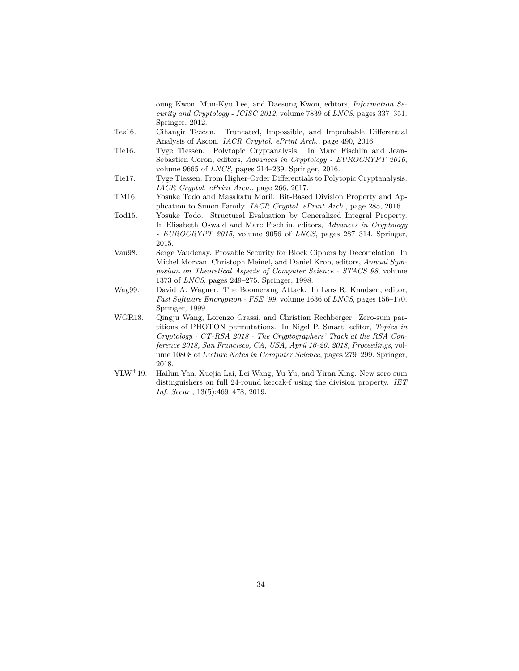oung Kwon, Mun-Kyu Lee, and Daesung Kwon, editors, *Information Security and Cryptology - ICISC 2012*, volume 7839 of *LNCS*, pages 337–351. Springer, 2012.

- <span id="page-33-6"></span>Tez16. Cihangir Tezcan. Truncated, Impossible, and Improbable Differential Analysis of Ascon. *IACR Cryptol. ePrint Arch.*, page 490, 2016.
- <span id="page-33-3"></span>Tie16. Tyge Tiessen. Polytopic Cryptanalysis. In Marc Fischlin and Jean-Sébastien Coron, editors, *Advances in Cryptology - EUROCRYPT 2016*, volume 9665 of *LNCS*, pages 214–239. Springer, 2016.
- <span id="page-33-2"></span>Tie17. Tyge Tiessen. From Higher-Order Differentials to Polytopic Cryptanalysis. *IACR Cryptol. ePrint Arch.*, page 266, 2017.
- <span id="page-33-5"></span>TM16. Yosuke Todo and Masakatu Morii. Bit-Based Division Property and Application to Simon Family. *IACR Cryptol. ePrint Arch.*, page 285, 2016.
- <span id="page-33-4"></span>Tod15. Yosuke Todo. Structural Evaluation by Generalized Integral Property. In Elisabeth Oswald and Marc Fischlin, editors, *Advances in Cryptology - EUROCRYPT 2015*, volume 9056 of *LNCS*, pages 287–314. Springer, 2015.
- <span id="page-33-0"></span>Vau98. Serge Vaudenay. Provable Security for Block Ciphers by Decorrelation. In Michel Morvan, Christoph Meinel, and Daniel Krob, editors, *Annual Symposium on Theoretical Aspects of Computer Science - STACS 98*, volume 1373 of *LNCS*, pages 249–275. Springer, 1998.
- <span id="page-33-1"></span>Wag99. David A. Wagner. The Boomerang Attack. In Lars R. Knudsen, editor, *Fast Software Encryption - FSE '99*, volume 1636 of *LNCS*, pages 156–170. Springer, 1999.
- <span id="page-33-8"></span>WGR18. Qingju Wang, Lorenzo Grassi, and Christian Rechberger. Zero-sum partitions of PHOTON permutations. In Nigel P. Smart, editor, *Topics in Cryptology - CT-RSA 2018 - The Cryptographers' Track at the RSA Conference 2018, San Francisco, CA, USA, April 16-20, 2018, Proceedings*, volume 10808 of *Lecture Notes in Computer Science*, pages 279–299. Springer, 2018.
- <span id="page-33-7"></span>YLW<sup>+</sup>19. Hailun Yan, Xuejia Lai, Lei Wang, Yu Yu, and Yiran Xing. New zero-sum distinguishers on full 24-round keccak-f using the division property. *IET Inf. Secur.*, 13(5):469–478, 2019.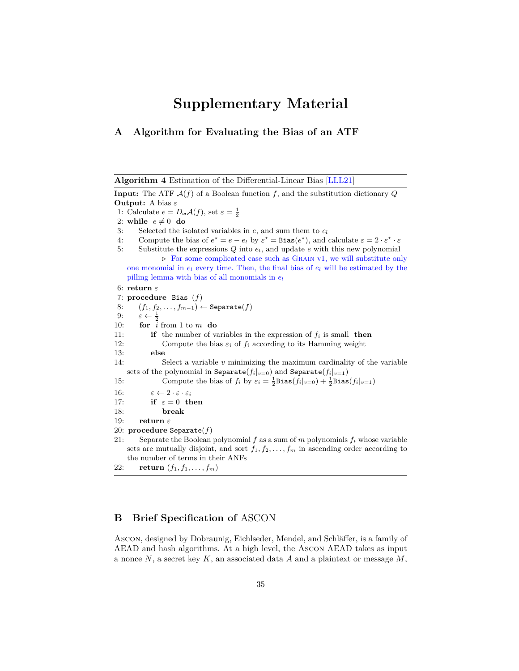# **Supplementary Material**

# <span id="page-34-1"></span>**A Algorithm for Evaluating the Bias of an ATF**

<span id="page-34-0"></span>**Algorithm 4** Estimation of the Differential-Linear Bias [\[LLL21\]](#page-32-2)

**Input:** The ATF *A*(*f*) of a Boolean function *f*, and the substitution dictionary *Q* **Output:** A bias *ε* 1: Calculate  $e = D_x \mathcal{A}(f)$ , set  $\varepsilon = \frac{1}{2}$ 2: while  $e \neq 0$  do 3: Selected the isolated variables in *e*, and sum them to *e<sup>l</sup>* 4: Compute the bias of  $e^* = e - e_l$  by  $\varepsilon^* = \text{Bias}(e^*)$ , and calculate  $\varepsilon = 2 \cdot \varepsilon^* \cdot \varepsilon$ 5: Substitute the expressions *Q* into *el*, and update *e* with this new polynomial *▷* For some complicated case such as Grain v1, we will substitute only one monomial in *e<sup>l</sup>* every time. Then, the final bias of *e<sup>l</sup>* will be estimated by the pilling lemma with bias of all monomials in *e<sup>l</sup>* 6: **return** *ε* 7: **procedure** Bias (*f*) 8:  $(f_1, f_2, \ldots, f_{m-1}) \leftarrow$  Separate(*f*)<br>9:  $\varepsilon \leftarrow \frac{1}{2}$ 9:  $\varepsilon \leftarrow \frac{1}{2}$ 10: **for** *i* from 1 to *m* **do** 11: **if** the number of variables in the expression of *f<sup>i</sup>* is small **then** 12: Compute the bias  $\varepsilon_i$  of  $f_i$  according to its Hamming weight 13: **else** 14: Select a variable *v* minimizing the maximum cardinality of the variable sets of the polynomial in Separate( $f_i|_{v=0}$ ) and Separate( $f_i|_{v=1}$ ) 15: Compute the bias of  $f_i$  by  $\varepsilon_i = \frac{1}{2} \text{Bias}(f_i|_{v=0}) + \frac{1}{2} \text{Bias}(f_i|_{v=1})$ 16:  $\varepsilon \leftarrow 2 \cdot \varepsilon \cdot \varepsilon_i$ 17: **if**  $\varepsilon = 0$  **then** 18: **break** 19: **return** *ε* 20: **procedure** Separate(*f*) 21: Separate the Boolean polynomial  $f$  as a sum of  $m$  polynomials  $f_i$  whose variable sets are mutually disjoint, and sort  $f_1, f_2, \ldots, f_m$  in ascending order according to the number of terms in their ANFs

```
22: return (f_1, f_1, \ldots, f_m)
```
# <span id="page-34-2"></span>**B Brief Specification of** ASCON

Ascon, designed by Dobraunig, Eichlseder, Mendel, and Schläffer, is a family of AEAD and hash algorithms. At a high level, the Ascon AEAD takes as input a nonce *N*, a secret key *K*, an associated data *A* and a plaintext or message *M*,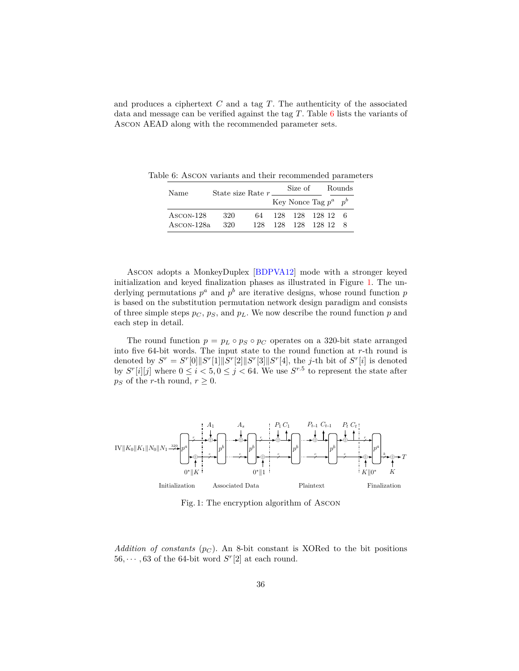and produces a ciphertext *C* and a tag *T*. The authenticity of the associated data and message can be verified against the tag *T*. Table [6](#page-35-0) lists the variants of Ascon AEAD along with the recommended parameter sets.

<span id="page-35-0"></span>Table 6: Ascon variants and their recommended parameters

| Name         | State size Rate $r$ |      |                           | Size of        |  | Rounds |  |
|--------------|---------------------|------|---------------------------|----------------|--|--------|--|
|              |                     |      | Key Nonce Tag $p^a$ $p^b$ |                |  |        |  |
| $A$ SCON-128 | 320                 | 64   |                           | 128 128 128 12 |  |        |  |
| Ascon-128a   | 320                 | 128. | 128                       | 128 128 12     |  |        |  |

Ascon adopts a MonkeyDuplex [\[BDPVA12\]](#page-30-11) mode with a stronger keyed initialization and keyed finalization phases as illustrated in Figure [1](#page-35-1). The underlying permutations  $p^a$  and  $p^b$  are iterative designs, whose round function  $p$ is based on the substitution permutation network design paradigm and consists of three simple steps  $p_C$ ,  $p_S$ , and  $p_L$ . We now describe the round function  $p$  and each step in detail.

The round function  $p = p_L \circ p_S \circ p_C$  operates on a 320-bit state arranged into five 64-bit words. The input state to the round function at *r*-th round is denoted by  $S^r = S^r[0] \| S^r[1] \| S^r[2] \| S^r[3] \| S^r[4]$ , the *j*-th bit of  $S^r[i]$  is denoted by  $S^{r}[i][j]$  where  $0 \leq i < 5, 0 \leq j < 64$ . We use  $S^{r.5}$  to represent the state after *p<sub>S</sub>* of the *r*-th round,  $r \geq 0$ .

<span id="page-35-1"></span>

Fig. 1: The encryption algorithm of Ascon

*Addition of constants* (*p<sup>C</sup>* ). An 8-bit constant is XORed to the bit positions 56,  $\cdots$ , 63 of the 64-bit word  $S<sup>r</sup>[2]$  at each round.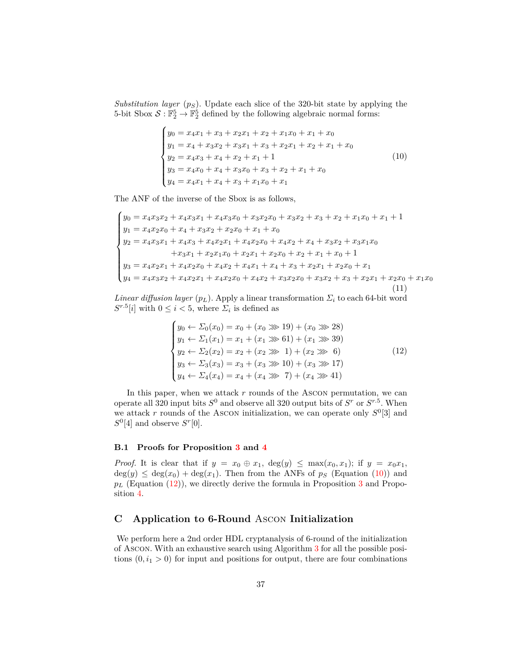*Substitution layer* (*pS*). Update each slice of the 320-bit state by applying the 5-bit Sbox  $S: \mathbb{F}_2^5 \to \mathbb{F}_2^5$  defined by the following algebraic normal forms:

<span id="page-36-2"></span>
$$
\begin{cases}\ny_0 = x_4x_1 + x_3 + x_2x_1 + x_2 + x_1x_0 + x_1 + x_0 \\
y_1 = x_4 + x_3x_2 + x_3x_1 + x_3 + x_2x_1 + x_2 + x_1 + x_0 \\
y_2 = x_4x_3 + x_4 + x_2 + x_1 + 1 \\
y_3 = x_4x_0 + x_4 + x_3x_0 + x_3 + x_2 + x_1 + x_0 \\
y_4 = x_4x_1 + x_4 + x_3 + x_1x_0 + x_1\n\end{cases} (10)
$$

The ANF of the inverse of the Sbox is as follows,

$$
\begin{cases}\ny_0 = x_4x_3x_2 + x_4x_3x_1 + x_4x_3x_0 + x_3x_2x_0 + x_3x_2 + x_3 + x_2 + x_1x_0 + x_1 + 1 \\
y_1 = x_4x_2x_0 + x_4 + x_3x_2 + x_2x_0 + x_1 + x_0 \\
y_2 = x_4x_3x_1 + x_4x_3 + x_4x_2x_1 + x_4x_2x_0 + x_4x_2 + x_4 + x_3x_2 + x_3x_1x_0 \\
+x_3x_1 + x_2x_1x_0 + x_2x_1 + x_2x_0 + x_2 + x_1 + x_0 + 1 \\
y_3 = x_4x_2x_1 + x_4x_2x_0 + x_4x_2 + x_4x_1 + x_4 + x_3 + x_2x_1 + x_2x_0 + x_1 \\
y_4 = x_4x_3x_2 + x_4x_2x_1 + x_4x_2x_0 + x_4x_2 + x_3x_2x_0 + x_3x_2 + x_3 + x_2x_1 + x_2x_0 + x_1x_0\n\end{cases}
$$
\n(11)

*Linear diffusion layer* ( $p_L$ ). Apply a linear transformation  $\Sigma_i$  to each 64-bit word  $S^{r.5}[i]$  with  $0 \leq i < 5$ , where  $\Sigma_i$  is defined as

<span id="page-36-3"></span>
$$
\begin{cases}\ny_0 \leftarrow \Sigma_0(x_0) = x_0 + (x_0 \gg 19) + (x_0 \gg 28) \\
y_1 \leftarrow \Sigma_1(x_1) = x_1 + (x_1 \gg 61) + (x_1 \gg 39) \\
y_2 \leftarrow \Sigma_2(x_2) = x_2 + (x_2 \gg 1) + (x_2 \gg 6) \\
y_3 \leftarrow \Sigma_3(x_3) = x_3 + (x_3 \gg 10) + (x_3 \gg 17) \\
y_4 \leftarrow \Sigma_4(x_4) = x_4 + (x_4 \gg 7) + (x_4 \gg 41)\n\end{cases}
$$
\n(12)

In this paper, when we attack *r* rounds of the Ascon permutation, we can operate all 320 input bits  $S^0$  and observe all 320 output bits of  $S^r$  or  $S^{r.5}$ . When we attack *r* rounds of the Ascon initialization, we can operate only  $S^0[3]$  and  $S^0[4]$  and observe  $S^r[0]$ .

# <span id="page-36-1"></span>**B.1 Proofs for Proposition [3](#page-14-2) and [4](#page-15-1)**

*Proof.* It is clear that if  $y = x_0 \oplus x_1$ ,  $deg(y) \leq max(x_0, x_1)$ ; if  $y = x_0x_1$ ,  $deg(y) \leq deg(x_0) + deg(x_1)$ . Then from the ANFs of  $p_S$  (Equation ([10\)](#page-36-2)) and  $p_L$  (Equation  $(12)$  $(12)$ ), we directly derive the formula in Proposition [3](#page-14-2) and Proposition [4.](#page-15-1)

# <span id="page-36-0"></span>**C Application to 6-Round** Ascon **Initialization**

We perform here a 2nd order HDL cryptanalysis of 6-round of the initialization of Ascon. With an exhaustive search using Algorithm [3](#page-23-0) for all the possible positions  $(0, i<sub>1</sub> > 0)$  for input and positions for output, there are four combinations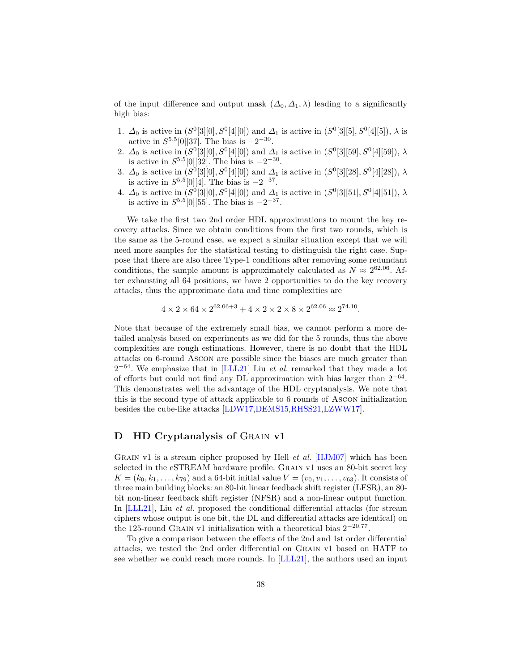of the input difference and output mask  $(\Delta_0, \Delta_1, \lambda)$  leading to a significantly high bias:

- 1.  $\Delta_0$  is active in  $(S^0[3][0], S^0[4][0])$  and  $\Delta_1$  is active in  $(S^0[3][5], S^0[4][5])$ ,  $\lambda$  is active in  $S^{5.5}[0][37]$ . The bias is  $-2^{-30}$ .
- 2.  $\Delta_0$  is active in  $(S^0[3][0], S^0[4][0])$  and  $\Delta_1$  is active in  $(S^0[3][59], S^0[4][59])$ ,  $\lambda$ is active in  $S^{5.5}[0][32]$ . The bias is  $-2^{-30}$ .
- 3.  $\Delta_0$  is active in  $(S^0[3][0], S^0[4][0])$  and  $\Delta_1$  is active in  $(S^0[3][28], S^0[4][28])$ ,  $\lambda$ is active in  $S^{5.5}[0][4]$ . The bias is  $-2^{-37}$ .
- 4.  $\Delta_0$  is active in  $(S^0[3][0], S^0[4][0])$  and  $\Delta_1$  is active in  $(S^0[3][51], S^0[4][51])$ ,  $\lambda$ is active in  $S^{5.5}[0][55]$ . The bias is  $-2^{-37}$ .

We take the first two 2nd order HDL approximations to mount the key recovery attacks. Since we obtain conditions from the first two rounds, which is the same as the 5-round case, we expect a similar situation except that we will need more samples for the statistical testing to distinguish the right case. Suppose that there are also three Type-1 conditions after removing some redundant conditions, the sample amount is approximately calculated as  $N \approx 2^{62.06}$ . After exhausting all 64 positions, we have 2 opportunities to do the key recovery attacks, thus the approximate data and time complexities are

$$
4 \times 2 \times 64 \times 2^{62.06+3} + 4 \times 2 \times 2 \times 8 \times 2^{62.06} \approx 2^{74.10}.
$$

Note that because of the extremely small bias, we cannot perform a more detailed analysis based on experiments as we did for the 5 rounds, thus the above complexities are rough estimations. However, there is no doubt that the HDL attacks on 6-round Ascon are possible since the biases are much greater than 2 *<sup>−</sup>*<sup>64</sup>. We emphasize that in [[LLL21](#page-32-2)] Liu *et al.* remarked that they made a lot of efforts but could not find any DL approximation with bias larger than 2 *−*64 . This demonstrates well the advantage of the HDL cryptanalysis. We note that this is the second type of attack applicable to 6 rounds of Ascon initialization besides the cube-like attacks [[LDW17,](#page-32-8)[DEMS15,](#page-31-9)[RHSS21](#page-32-9),[LZWW17\]](#page-32-14).

# <span id="page-37-0"></span>**D HD Cryptanalysis of** Grain **v1**

Grain v1 is a stream cipher proposed by Hell *et al.* [\[HJM07](#page-31-7)] which has been selected in the eSTREAM hardware profile. Grain v1 uses an 80-bit secret key  $K = (k_0, k_1, \ldots, k_{79})$  and a 64-bit initial value  $V = (v_0, v_1, \ldots, v_{63})$ . It consists of three main building blocks: an 80-bit linear feedback shift register (LFSR), an 80 bit non-linear feedback shift register (NFSR) and a non-linear output function. In [[LLL21](#page-32-2)], Liu *et al.* proposed the conditional differential attacks (for stream ciphers whose output is one bit, the DL and differential attacks are identical) on the 125-round GRAIN v1 initialization with a theoretical bias  $2^{-20.77}$ .

To give a comparison between the effects of the 2nd and 1st order differential attacks, we tested the 2nd order differential on Grain v1 based on HATF to see whether we could reach more rounds. In [[LLL21\]](#page-32-2), the authors used an input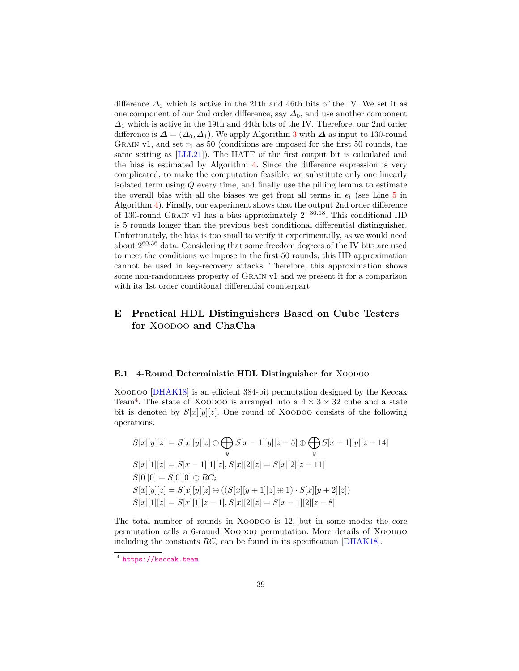difference  $\Delta_0$  which is active in the 21th and 46th bits of the IV. We set it as one component of our 2nd order difference, say *∆*0, and use another component *∆*<sup>1</sup> which is active in the 19th and 44th bits of the IV. Therefore, our 2nd order difference is  $\Delta = (\Delta_0, \Delta_1)$ . We apply Algorithm [3](#page-23-0) with  $\Delta$  as input to 130-round GRAIN v1, and set  $r_1$  as 50 (conditions are imposed for the first 50 rounds, the same setting as [[LLL21](#page-32-2)]). The HATF of the first output bit is calculated and the bias is estimated by Algorithm [4](#page-34-0). Since the difference expression is very complicated, to make the computation feasible, we substitute only one linearly isolated term using *Q* every time, and finally use the pilling lemma to estimate the overall bias with all the biases we get from all terms in  $e_l$  (see Line  $5$  in Algorithm [4\)](#page-34-0). Finally, our experiment shows that the output 2nd order difference of 130-round Grain v1 has a bias approximately 2 *<sup>−</sup>*30*.*18. This conditional HD is 5 rounds longer than the previous best conditional differential distinguisher. Unfortunately, the bias is too small to verify it experimentally, as we would need about 2 <sup>60</sup>*.*<sup>36</sup> data. Considering that some freedom degrees of the IV bits are used to meet the conditions we impose in the first 50 rounds, this HD approximation cannot be used in key-recovery attacks. Therefore, this approximation shows some non-randomness property of Grain v1 and we present it for a comparison with its 1st order conditional differential counterpart.

# <span id="page-38-1"></span>**E Practical HDL Distinguishers Based on Cube Testers for** Xoodoo **and ChaCha**

#### <span id="page-38-0"></span>**E.1** 4-Round Deterministic HDL Distinguisher for XOODOO

Xoodoo [\[DHAK18](#page-31-8)] is an efficient 384-bit permutation designed by the Keccak Team<sup>[4](#page-38-2)</sup>. The state of XOODOO is arranged into a  $4 \times 3 \times 32$  cube and a state bit is denoted by  $S[x][y][z]$ . One round of XOODOO consists of the following operations.

$$
S[x][y][z] = S[x][y][z] \oplus \bigoplus_{y} S[x-1][y][z-5] \oplus \bigoplus_{y} S[x-1][y][z-14]
$$
  
\n
$$
S[x][1][z] = S[x-1][1][z], S[x][2][z] = S[x][2][z-11]
$$
  
\n
$$
S[0][0] = S[0][0] \oplus RC_i
$$
  
\n
$$
S[x][y][z] = S[x][y][z] \oplus ((S[x][y+1][z] \oplus 1) \cdot S[x][y+2][z])
$$
  
\n
$$
S[x][1][z] = S[x][1][z-1], S[x][2][z] = S[x-1][2][z-8]
$$

The total number of rounds in XOODOO is 12, but in some modes the core permutation calls a 6-round Xoodoo permutation. More details of Xoodoo including the constants  $RC<sub>i</sub>$  can be found in its specification [\[DHAK18\]](#page-31-8).

<span id="page-38-2"></span><sup>4</sup> <https://keccak.team>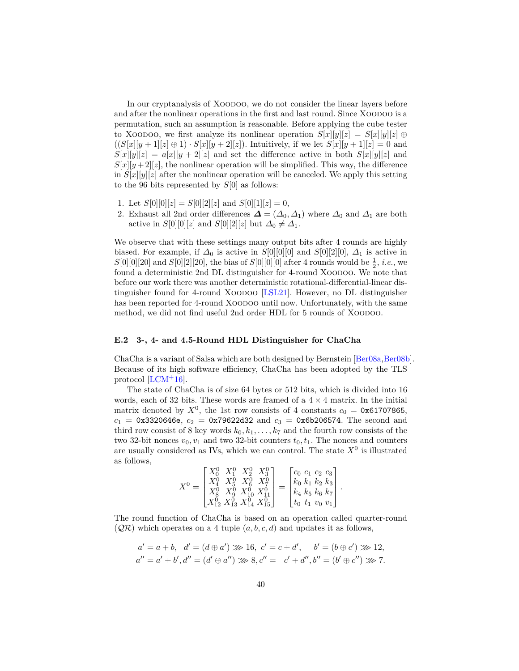In our cryptanalysis of Xoodoo, we do not consider the linear layers before and after the nonlinear operations in the first and last round. Since Xoodoo is a permutation, such an assumption is reasonable. Before applying the cube tester to XOODOO, we first analyze its nonlinear operation  $S[x][y][z] = S[x][y][z] \oplus$  $((S[x][y + 1][z] \oplus 1) \cdot S[x][y + 2][z])$ . Intuitively, if we let  $S[x][y + 1][z] = 0$  and  $S[x][y][z] = a[x][y + 2][z]$  and set the difference active in both  $S[x][y][z]$  and  $S[x][y+2][z]$ , the nonlinear operation will be simplified. This way, the difference in  $S[x][y][z]$  after the nonlinear operation will be canceled. We apply this setting to the 96 bits represented by *S*[0] as follows:

- 1. Let  $S[0][0][z] = S[0][2][z]$  and  $S[0][1][z] = 0$ ,
- 2. Exhaust all 2nd order differences  $\mathbf{\Delta} = (\Delta_0, \Delta_1)$  where  $\Delta_0$  and  $\Delta_1$  are both active in *S*[0][0][*z*] and *S*[0][2][*z*] but  $\Delta_0 \neq \Delta_1$ .

We observe that with these settings many output bits after 4 rounds are highly biased. For example, if  $\Delta_0$  is active in *S*[0][0][0] and *S*[0][2][0],  $\Delta_1$  is active in  $S[0][0][20]$  and  $S[0][2][20]$ , the bias of  $S[0][0][0]$  after 4 rounds would be  $\frac{1}{2}$ , *i.e.*, we found a deterministic 2nd DL distinguisher for 4-round X00D00. We note that before our work there was another deterministic rotational-differential-linear dis-tinguisher found for 4-round XOODOO [\[LSL21](#page-32-11)]. However, no DL distinguisher has been reported for 4-round XOODOO until now. Unfortunately, with the same method, we did not find useful 2nd order HDL for 5 rounds of XOODOO.

## <span id="page-39-0"></span>**E.2 3-, 4- and 4.5-Round HDL Distinguisher for ChaCha**

ChaCha is a variant of Salsa which are both designed by Bernstein [[Ber08a](#page-30-6),[Ber08b\]](#page-31-4). Because of its high software efficiency, ChaCha has been adopted by the TLS protocol  $[LCM+16]$  $[LCM+16]$  $[LCM+16]$ .

The state of ChaCha is of size 64 bytes or 512 bits, which is divided into 16 words, each of 32 bits. These words are framed of a 4 *×* 4 matrix. In the initial matrix denoted by  $X^0$ , the 1st row consists of 4 constants  $c_0 = 0 \times 61707865$ ,  $c_1 = 0x3320646e, c_2 = 0x79622d32$  and  $c_3 = 0x6b206574$ . The second and third row consist of 8 key words  $k_0, k_1, \ldots, k_7$  and the fourth row consists of the two 32-bit nonces  $v_0, v_1$  and two 32-bit counters  $t_0, t_1$ . The nonces and counters are usually considered as IVs, which we can control. The state  $X^0$  is illustrated as follows,

$$
X^0 = \begin{bmatrix} X^0_0 & X^0_1 & X^0_2 & X^0_3 \\ X^0_4 & X^0_5 & X^0_6 & X^0_7 \\ X^0_8 & X^0_9 & X^0_{10} & X^0_{11} \\ X^0_{12} & X^0_{13} & X^0_{14} & X^0_{15} \end{bmatrix} = \begin{bmatrix} c_0 & c_1 & c_2 & c_3 \\ k_0 & k_1 & k_2 & k_3 \\ k_4 & k_5 & k_6 & k_7 \\ t_0 & t_1 & v_0 & v_1 \end{bmatrix}.
$$

The round function of ChaCha is based on an operation called quarter-round  $(QR)$  which operates on a 4 tuple  $(a, b, c, d)$  and updates it as follows,

$$
a' = a + b, d' = (d \oplus a') \ggg 16, c' = c + d', b' = (b \oplus c') \ggg 12,a'' = a' + b', d'' = (d' \oplus a'') \ggg g, c'' = c' + d'', b'' = (b' \oplus c'') \ggg 7.
$$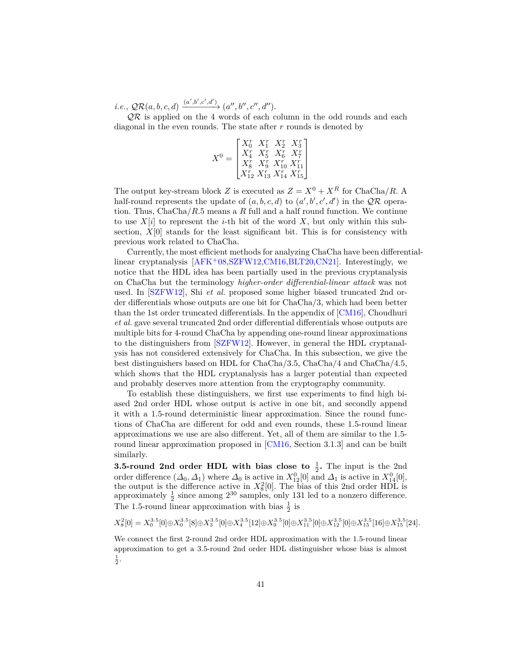$i.e., \mathcal{QR}(a, b, c, d) \xrightarrow{(a', b', c', d')} (a'', b'', c'', d'').$ 

*QR* is applied on the 4 words of each column in the odd rounds and each diagonal in the even rounds. The state after *r* rounds is denoted by

$$
X^0 = \begin{bmatrix} X_0^r & X_1^r & X_2^r & X_3^r \\ X_4^r & X_5^r & X_6^r & X_7^r \\ X_8^r & X_9^r & X_{10}^r & X_{11}^r \\ X_{12}^r & X_{13}^r & X_{14}^r & X_{15}^r \end{bmatrix}
$$

The output key-stream block *Z* is executed as  $Z = X^0 + X^R$  for ChaCha/*R*. A half-round represents the update of  $(a, b, c, d)$  to  $(a', b', c', d')$  in the  $\mathcal{QR}$  operation. Thus, ChaCha/*R.*5 means a *R* full and a half round function. We continue to use  $X[i]$  to represent the *i*-th bit of the word X, but only within this subsection,  $X[0]$  stands for the least significant bit. This is for consistency with previous work related to ChaCha.

Currently, the most efficient methods for analyzing ChaCha have been differentiallinearcryptanalysis  $[AFK^+08, SZFW12, CM16, BLT20, CN21]$  $[AFK^+08, SZFW12, CM16, BLT20, CN21]$  $[AFK^+08, SZFW12, CM16, BLT20, CN21]$  $[AFK^+08, SZFW12, CM16, BLT20, CN21]$  $[AFK^+08, SZFW12, CM16, BLT20, CN21]$ . Interestingly, we notice that the HDL idea has been partially used in the previous cryptanalysis on ChaCha but the terminology *higher-order differential-linear attack* was not used. In [\[SZFW12](#page-32-7)], Shi *et al.* proposed some higher biased truncated 2nd order differentials whose outputs are one bit for ChaCha/3, which had been better than the 1st order truncated differentials. In the appendix of [[CM16](#page-31-5)], Choudhuri *et al.* gave several truncated 2nd order differential differentials whose outputs are multiple bits for 4-round ChaCha by appending one-round linear approximations to the distinguishers from [\[SZFW12](#page-32-7)]. However, in general the HDL cryptanalysis has not considered extensively for ChaCha. In this subsection, we give the best distinguishers based on HDL for ChaCha/3.5, ChaCha/4 and ChaCha/4.5, which shows that the HDL cryptanalysis has a larger potential than expected and probably deserves more attention from the cryptography community.

To establish these distinguishers, we first use experiments to find high biased 2nd order HDL whose output is active in one bit, and secondly append it with a 1.5-round deterministic linear approximation. Since the round functions of ChaCha are different for odd and even rounds, these 1.5-round linear approximations we use are also different. Yet, all of them are similar to the 1.5 round linear approximation proposed in [[CM16](#page-31-5), Section 3.1.3] and can be built similarly.

**3.5-round 2nd order HDL with bias close to**  $\frac{1}{2}$ **. The input is the 2nd** order difference  $(\Delta_0, \Delta_1)$  where  $\Delta_0$  is active in  $X_{12}^0[0]$  and  $\Delta_1$  is active in  $X_{14}^0[0]$ , the output is the difference active in  $X_8^2[0]$ . The bias of this 2nd order HDL is approximately  $\frac{1}{2}$  since among  $2^{30}$  samples, only 131 led to a nonzero difference. The 1.5-round linear approximation with bias  $\frac{1}{2}$  is

 $X_8^2[0] = X_0^{3.5}[0] \oplus X_0^{3.5}[8] \oplus X_3^{3.5}[0] \oplus X_4^{3.5}[12] \oplus X_9^{3.5}[0] \oplus X_{11}^{3.5}[0] \oplus X_{12}^{3.5}[0] \oplus X_{15}^{3.5}[16] \oplus X_{15}^{3.5}[24].$ 

We connect the first 2-round 2nd order HDL approximation with the 1.5-round linear approximation to get a 3.5-round 2nd order HDL distinguisher whose bias is almost  $\frac{1}{2}$ .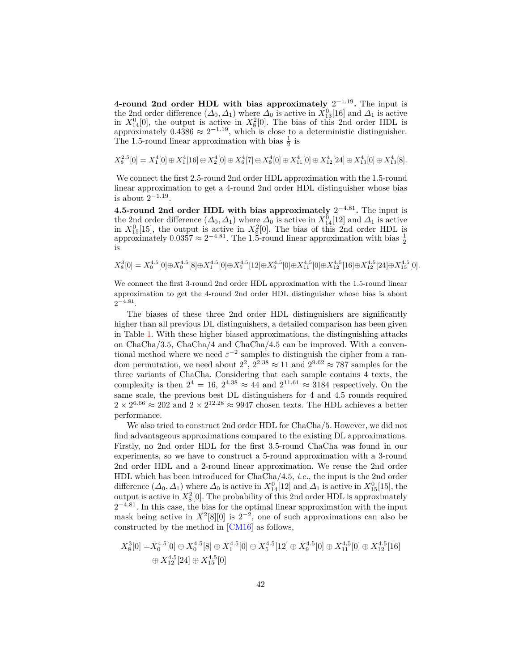**4-round 2nd order HDL with bias approximately** 2 *−*1*.*19 **.** The input is the 2nd order difference  $(\Delta_0, \Delta_1)$  where  $\Delta_0$  is active in  $X_{13}^0[16]$  and  $\Delta_1$  is active in  $X_{14}^0[0]$ , the output is active in  $X_8^2[0]$ . The bias of this 2nd order HDL is approximately  $0.4386 \approx 2^{-1.19}$ , which is close to a deterministic distinguisher. The 1.5-round linear approximation with bias  $\frac{1}{2}$  is

 $X_8^{2.5}[0] = X_1^4[0] \oplus X_1^4[16] \oplus X_2^4[0] \oplus X_6^4[7] \oplus X_8^4[0] \oplus X_{11}^4[0] \oplus X_{12}^4[24] \oplus X_{13}^4[0] \oplus X_{13}^4[8].$ 

We connect the first 2.5-round 2nd order HDL approximation with the 1.5-round linear approximation to get a 4-round 2nd order HDL distinguisher whose bias is about 2 *−*1*.*19 .

**4.5-round 2nd order HDL with bias approximately** 2 *−*4*.*81 **.** The input is the 2nd order difference  $(\Delta_0, \Delta_1)$  where  $\Delta_0$  is active in  $X_{14}^0[12]$  and  $\Delta_1$  is active in  $X_{15}^0[15]$ , the output is active in  $X_8^2[0]$ . The bias of this 2nd order HDL is approximately  $0.03\overline{57} \approx 2^{-4.81}$ . The 1.5-round linear approximation with bias  $\frac{1}{2}$ is

$$
X_8^3[0] = X_0^{4.5}[0] \oplus X_0^{4.5}[8] \oplus X_1^{4.5}[0] \oplus X_5^{4.5}[12] \oplus X_9^{4.5}[0] \oplus X_{11}^{4.5}[0] \oplus X_{12}^{4.5}[16] \oplus X_{12}^{4.5}[24] \oplus X_{15}^{4.5}[0].
$$

We connect the first 3-round 2nd order HDL approximation with the 1.5-round linear approximation to get the 4-round 2nd order HDL distinguisher whose bias is about 2 *−*4*.*81 .

The biases of these three 2nd order HDL distinguishers are significantly higher than all previous DL distinguishers, a detailed comparison has been given in Table [1](#page-7-1). With these higher biased approximations, the distinguishing attacks on ChaCha/3.5, ChaCha/4 and ChaCha/4.5 can be improved. With a conventional method where we need  $\varepsilon^{-2}$  samples to distinguish the cipher from a random permutation, we need about  $2^2$ ,  $2^{2.38} \approx 11$  and  $2^{9.62} \approx 787$  samples for the three variants of ChaCha. Considering that each sample contains 4 texts, the complexity is then  $2^4 = 16$ ,  $2^{4.38} \approx 44$  and  $2^{11.61} \approx 3184$  respectively. On the same scale, the previous best DL distinguishers for 4 and 4.5 rounds required  $2 \times 2^{6.66} \approx 202$  and  $2 \times 2^{12.28} \approx 9947$  chosen texts. The HDL achieves a better performance.

We also tried to construct 2nd order HDL for ChaCha/5. However, we did not find advantageous approximations compared to the existing DL approximations. Firstly, no 2nd order HDL for the first 3.5-round ChaCha was found in our experiments, so we have to construct a 5-round approximation with a 3-round 2nd order HDL and a 2-round linear approximation. We reuse the 2nd order HDL which has been introduced for ChaCha/4.5, *i.e.*, the input is the 2nd order difference  $(\Delta_0, \Delta_1)$  where  $\Delta_0$  is active in  $X_{14}^0[12]$  and  $\Delta_1$  is active in  $X_{15}^0[15]$ , the output is active in  $X_8^2[0]$ . The probability of this 2nd order HDL is approximately 2 *<sup>−</sup>*4*.*<sup>81</sup>. In this case, the bias for the optimal linear approximation with the input mask being active in  $X^2[8][0]$  is  $2^{-2}$ , one of such approximations can also be constructed by the method in [\[CM16](#page-31-5)] as follows,

$$
X_8^3[0] = X_0^{4.5}[0] \oplus X_0^{4.5}[8] \oplus X_1^{4.5}[0] \oplus X_5^{4.5}[12] \oplus X_9^{4.5}[0] \oplus X_{11}^{4.5}[0] \oplus X_{12}^{4.5}[16]
$$
  

$$
\oplus X_{12}^{4.5}[24] \oplus X_{15}^{4.5}[0]
$$